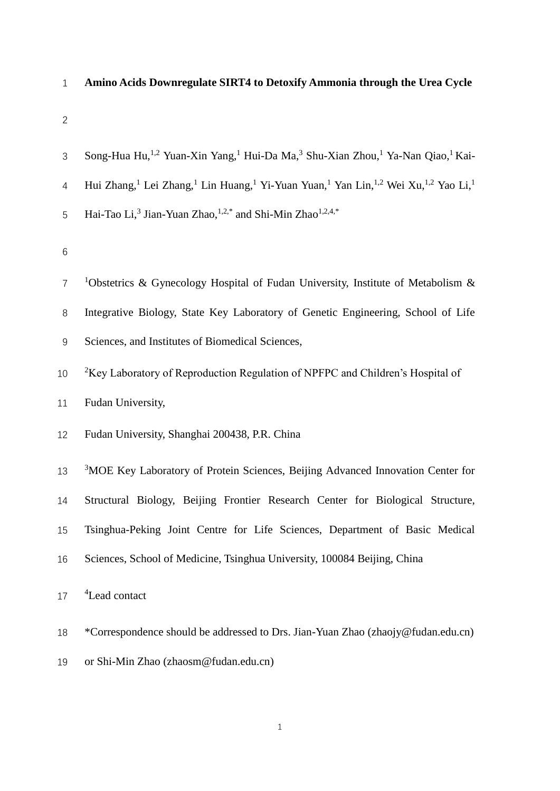# **Amino Acids Downregulate SIRT4 to Detoxify Ammonia through the Urea Cycle**

| 3               | Song-Hua Hu, <sup>1,2</sup> Yuan-Xin Yang, <sup>1</sup> Hui-Da Ma, <sup>3</sup> Shu-Xian Zhou, <sup>1</sup> Ya-Nan Qiao, <sup>1</sup> Kai-                             |  |  |  |
|-----------------|------------------------------------------------------------------------------------------------------------------------------------------------------------------------|--|--|--|
| $\overline{4}$  | Hui Zhang, <sup>1</sup> Lei Zhang, <sup>1</sup> Lin Huang, <sup>1</sup> Yi-Yuan Yuan, <sup>1</sup> Yan Lin, <sup>1,2</sup> Wei Xu, <sup>1,2</sup> Yao Li, <sup>1</sup> |  |  |  |
| 5               | Hai-Tao Li, <sup>3</sup> Jian-Yuan Zhao, <sup>1,2,*</sup> and Shi-Min Zhao <sup>1,2,4,*</sup>                                                                          |  |  |  |
| $6\phantom{1}6$ |                                                                                                                                                                        |  |  |  |
| $\overline{7}$  | <sup>1</sup> Obstetrics & Gynecology Hospital of Fudan University, Institute of Metabolism &                                                                           |  |  |  |
| 8               | Integrative Biology, State Key Laboratory of Genetic Engineering, School of Life                                                                                       |  |  |  |
| $9\,$           | Sciences, and Institutes of Biomedical Sciences,                                                                                                                       |  |  |  |
| 10              | ${}^{2}$ Key Laboratory of Reproduction Regulation of NPFPC and Children's Hospital of                                                                                 |  |  |  |
| 11              | Fudan University,                                                                                                                                                      |  |  |  |
| 12              | Fudan University, Shanghai 200438, P.R. China                                                                                                                          |  |  |  |
| 13              | <sup>3</sup> MOE Key Laboratory of Protein Sciences, Beijing Advanced Innovation Center for                                                                            |  |  |  |
| 14              | Structural Biology, Beijing Frontier Research Center for Biological Structure,                                                                                         |  |  |  |
| 15              | Tsinghua-Peking Joint Centre for Life Sciences, Department of Basic Medical                                                                                            |  |  |  |
| 16              | Sciences, School of Medicine, Tsinghua University, 100084 Beijing, China                                                                                               |  |  |  |
| 17              | <sup>4</sup> Lead contact                                                                                                                                              |  |  |  |
| 18              | *Correspondence should be addressed to Drs. Jian-Yuan Zhao (zhaojy@fudan.edu.cn)                                                                                       |  |  |  |

or Shi-Min Zhao (zhaosm@fudan.edu.cn)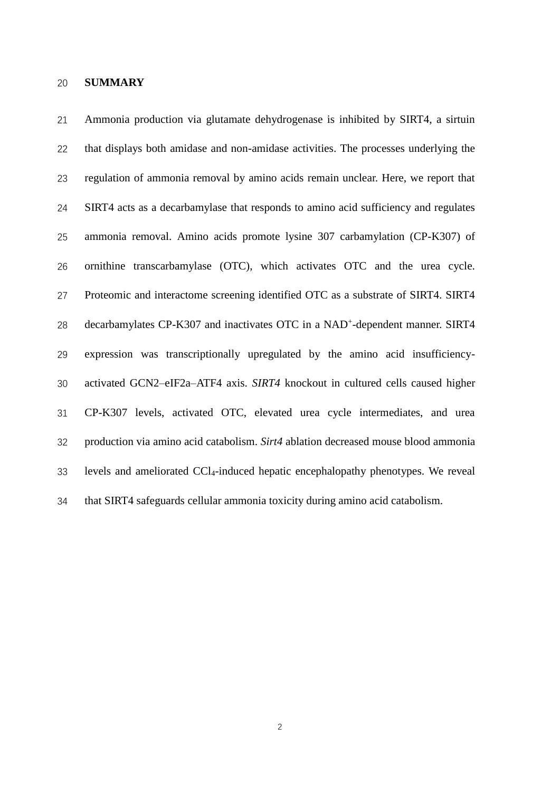#### **SUMMARY**

 Ammonia production via glutamate dehydrogenase is inhibited by SIRT4, a sirtuin that displays both amidase and non-amidase activities. The processes underlying the regulation of ammonia removal by amino acids remain unclear. Here, we report that SIRT4 acts as a decarbamylase that responds to amino acid sufficiency and regulates ammonia removal. Amino acids promote lysine 307 carbamylation (CP-K307) of ornithine transcarbamylase (OTC), which activates OTC and the urea cycle. Proteomic and interactome screening identified OTC as a substrate of SIRT4. SIRT4 28 decarbamylates CP-K307 and inactivates OTC in a NAD<sup>+</sup>-dependent manner. SIRT4 expression was transcriptionally upregulated by the amino acid insufficiency- activated GCN2–eIF2a–ATF4 axis. *SIRT4* knockout in cultured cells caused higher CP-K307 levels, activated OTC, elevated urea cycle intermediates, and urea production via amino acid catabolism. *Sirt4* ablation decreased mouse blood ammonia levels and ameliorated CCl4-induced hepatic encephalopathy phenotypes. We reveal that SIRT4 safeguards cellular ammonia toxicity during amino acid catabolism.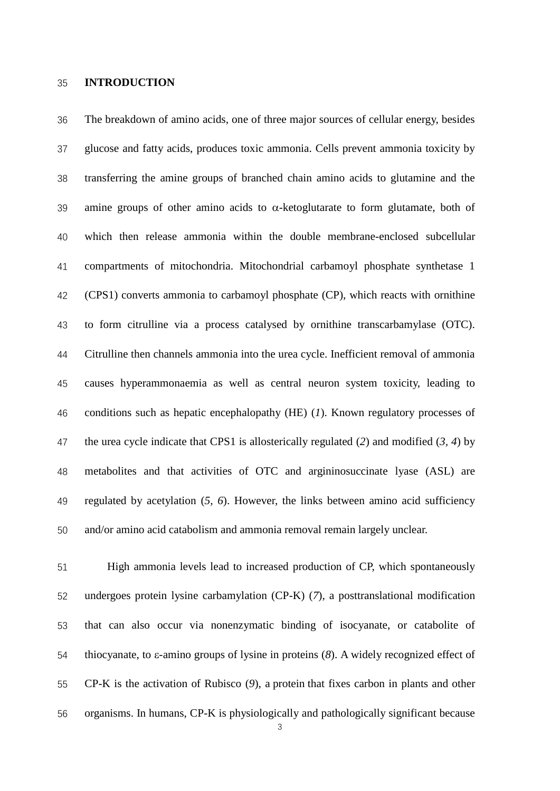#### **INTRODUCTION**

 The breakdown of amino acids, one of three major sources of cellular energy, besides glucose and fatty acids, produces toxic ammonia. Cells prevent ammonia toxicity by transferring the amine groups of branched chain amino acids to glutamine and the 39 amine groups of other amino acids to  $\alpha$ -ketoglutarate to form glutamate, both of which then release ammonia within the double membrane-enclosed subcellular compartments of mitochondria. Mitochondrial carbamoyl phosphate synthetase 1 (CPS1) converts ammonia to carbamoyl phosphate (CP), which reacts with ornithine to form citrulline via a process catalysed by ornithine transcarbamylase (OTC). Citrulline then channels ammonia into the urea cycle. Inefficient removal of ammonia causes hyperammonaemia as well as central neuron system toxicity, leading to conditions such as hepatic encephalopathy (HE) (*1*). Known regulatory processes of the urea cycle indicate that CPS1 is allosterically regulated (*2*) and modified (*3, 4*) by metabolites and that activities of OTC and argininosuccinate lyase (ASL) are regulated by acetylation (*5, 6*). However, the links between amino acid sufficiency and/or amino acid catabolism and ammonia removal remain largely unclear.

 High ammonia levels lead to increased production of CP, which spontaneously undergoes protein lysine carbamylation (CP-K) (*7*), a posttranslational modification that can also occur via nonenzymatic binding of isocyanate, or catabolite of thiocyanate, to ε-amino groups of lysine in proteins (*8*). A widely recognized effect of CP-K is the activation of Rubisco (*9*), a protein that fixes carbon in plants and other organisms. In humans, CP-K is physiologically and pathologically significant because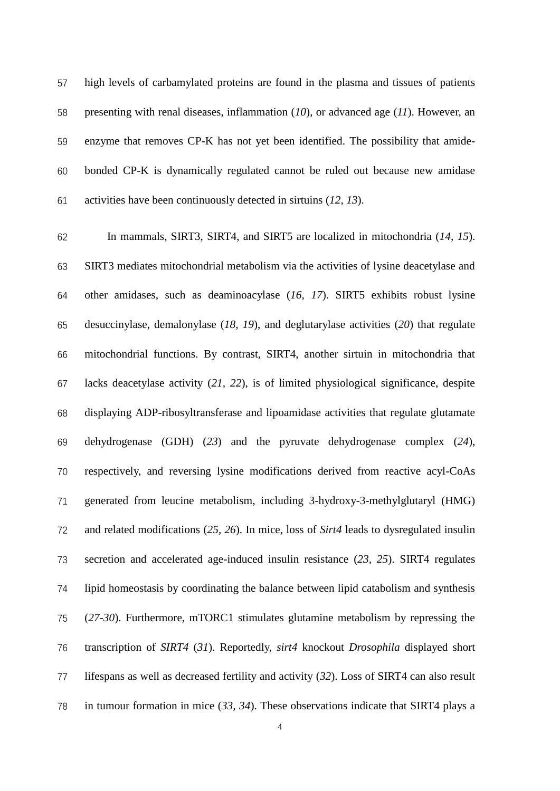high levels of carbamylated proteins are found in the plasma and tissues of patients presenting with renal diseases, inflammation (*10*), or advanced age (*11*). However, an enzyme that removes CP-K has not yet been identified. The possibility that amide- bonded CP-K is dynamically regulated cannot be ruled out because new amidase activities have been continuously detected in sirtuins (*12, 13*).

 In mammals, SIRT3, SIRT4, and SIRT5 are localized in mitochondria (*14, 15*). SIRT3 mediates mitochondrial metabolism via the activities of lysine deacetylase and other amidases, such as deaminoacylase (*16, 17*). SIRT5 exhibits robust lysine desuccinylase, demalonylase (*18, 19*), and deglutarylase activities (*20*) that regulate mitochondrial functions. By contrast, SIRT4, another sirtuin in mitochondria that lacks deacetylase activity (*21, 22*), is of limited physiological significance, despite displaying ADP-ribosyltransferase and lipoamidase activities that regulate glutamate dehydrogenase (GDH) (*23*) and the pyruvate dehydrogenase complex (*24*), respectively, and reversing lysine modifications derived from reactive acyl-CoAs generated from leucine metabolism, including 3-hydroxy-3-methylglutaryl (HMG) and related modifications (*25, 26*). In mice, loss of *Sirt4* leads to dysregulated insulin secretion and accelerated age-induced insulin resistance (*23, 25*). SIRT4 regulates lipid homeostasis by coordinating the balance between lipid catabolism and synthesis (*27-30*). Furthermore, mTORC1 stimulates glutamine metabolism by repressing the transcription of *SIRT4* (*31*). Reportedly, *sirt4* knockout *Drosophila* displayed short lifespans as well as decreased fertility and activity (*32*). Loss of SIRT4 can also result in tumour formation in mice (*33, 34*). These observations indicate that SIRT4 plays a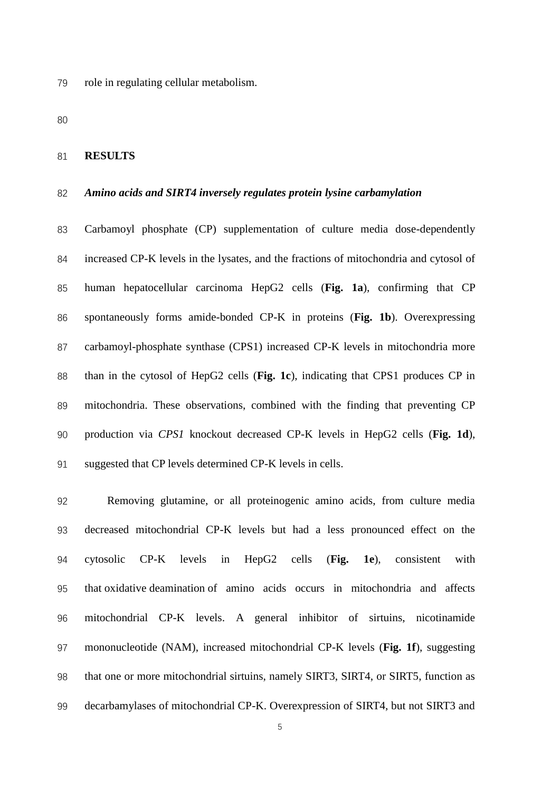role in regulating cellular metabolism.

#### **RESULTS**

#### *Amino acids and SIRT4 inversely regulates protein lysine carbamylation*

 Carbamoyl phosphate (CP) supplementation of culture media dose-dependently increased CP-K levels in the lysates, and the fractions of mitochondria and cytosol of human hepatocellular carcinoma HepG2 cells (**Fig. 1a**), confirming that CP spontaneously forms amide-bonded CP-K in proteins (**Fig. 1b**). Overexpressing carbamoyl-phosphate synthase (CPS1) increased CP-K levels in mitochondria more than in the cytosol of HepG2 cells (**Fig. 1c**), indicating that CPS1 produces CP in mitochondria. These observations, combined with the finding that preventing CP production via *CPS1* knockout decreased CP-K levels in HepG2 cells (**Fig. 1d**), suggested that CP levels determined CP-K levels in cells.

 Removing glutamine, or all proteinogenic amino acids, from culture media decreased mitochondrial CP-K levels but had a less pronounced effect on the cytosolic CP-K levels in HepG2 cells (**Fig. 1e**), consistent with that oxidative deamination of amino acids occurs in mitochondria and affects mitochondrial CP-K levels. A general inhibitor of sirtuins, nicotinamide mononucleotide (NAM), increased mitochondrial CP-K levels (**Fig. 1f**), suggesting that one or more mitochondrial sirtuins, namely SIRT3, SIRT4, or SIRT5, function as decarbamylases of mitochondrial CP-K. Overexpression of SIRT4, but not SIRT3 and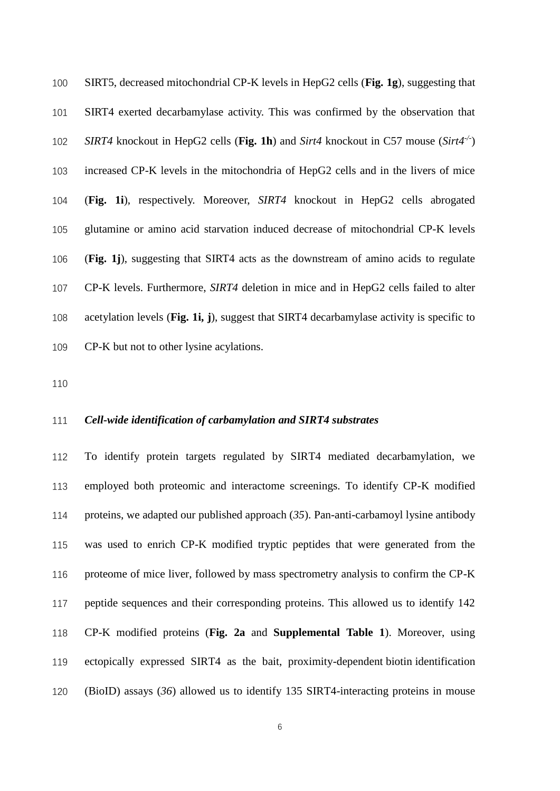SIRT5, decreased mitochondrial CP-K levels in HepG2 cells (**Fig. 1g**), suggesting that SIRT4 exerted decarbamylase activity. This was confirmed by the observation that *SIRT4* knockout in HepG2 cells (**Fig. 1h**) and *Sirt4* knockout in C57 mouse (*Sirt4-/-* ) increased CP-K levels in the mitochondria of HepG2 cells and in the livers of mice (**Fig. 1i**), respectively. Moreover, *SIRT4* knockout in HepG2 cells abrogated glutamine or amino acid starvation induced decrease of mitochondrial CP-K levels (**Fig. 1j**), suggesting that SIRT4 acts as the downstream of amino acids to regulate CP-K levels. Furthermore, *SIRT4* deletion in mice and in HepG2 cells failed to alter acetylation levels (**Fig. 1i, j**), suggest that SIRT4 decarbamylase activity is specific to CP-K but not to other lysine acylations.

### *Cell-wide identification of carbamylation and SIRT4 substrates*

 To identify protein targets regulated by SIRT4 mediated decarbamylation, we employed both proteomic and interactome screenings. To identify CP-K modified proteins, we adapted our published approach (*35*). Pan-anti-carbamoyl lysine antibody was used to enrich CP-K modified tryptic peptides that were generated from the proteome of mice liver, followed by mass spectrometry analysis to confirm the CP-K peptide sequences and their corresponding proteins. This allowed us to identify 142 CP-K modified proteins (**Fig. 2a** and **Supplemental Table 1**). Moreover, using ectopically expressed SIRT4 as the bait, proximity-dependent biotin identification (BioID) assays (*36*) allowed us to identify 135 SIRT4-interacting proteins in mouse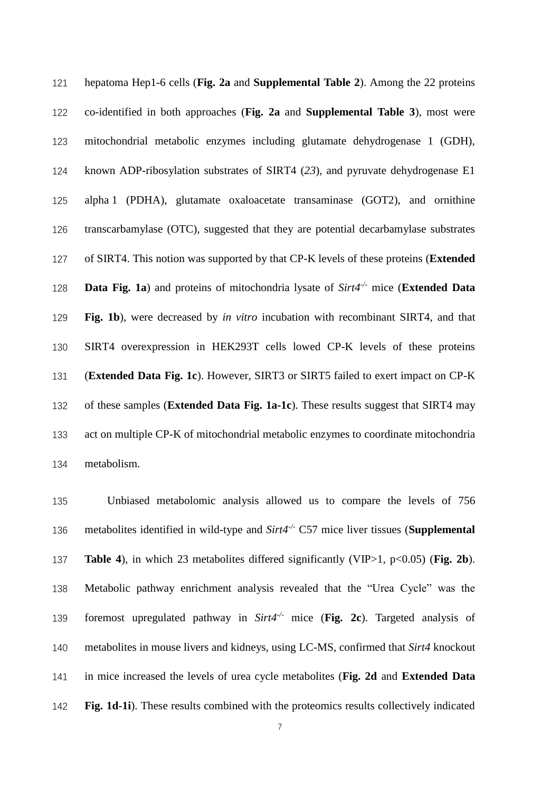hepatoma Hep1-6 cells (**Fig. 2a** and **Supplemental Table 2**). Among the 22 proteins co-identified in both approaches (**Fig. 2a** and **Supplemental Table 3**), most were mitochondrial metabolic enzymes including glutamate dehydrogenase 1 (GDH), known ADP-ribosylation substrates of SIRT4 (*23*), and pyruvate dehydrogenase E1 alpha 1 (PDHA), glutamate oxaloacetate transaminase (GOT2), and ornithine transcarbamylase (OTC), suggested that they are potential decarbamylase substrates of SIRT4. This notion was supported by that CP-K levels of these proteins (**Extended Data Fig. 1a**) and proteins of mitochondria lysate of *Sirt4<sup>-/-</sup>* mice (**Extended Data Fig. 1b**), were decreased by *in vitro* incubation with recombinant SIRT4, and that SIRT4 overexpression in HEK293T cells lowed CP-K levels of these proteins (**Extended Data Fig. 1c**). However, SIRT3 or SIRT5 failed to exert impact on CP-K of these samples (**Extended Data Fig. 1a-1c**). These results suggest that SIRT4 may act on multiple CP-K of mitochondrial metabolic enzymes to coordinate mitochondria metabolism.

 Unbiased metabolomic analysis allowed us to compare the levels of 756 136 metabolites identified in wild-type and *Sirt4<sup>-/-</sup>* C57 mice liver tissues (**Supplemental Table 4**), in which 23 metabolites differed significantly (VIP>1, p<0.05) (**Fig. 2b**). Metabolic pathway enrichment analysis revealed that the "Urea Cycle" was the foremost upregulated pathway in *Sirt4<sup>-/-</sup>* mice (Fig. 2c). Targeted analysis of metabolites in mouse livers and kidneys, using LC-MS, confirmed that *Sirt4* knockout in mice increased the levels of urea cycle metabolites (**Fig. 2d** and **Extended Data Fig. 1d-1i**). These results combined with the proteomics results collectively indicated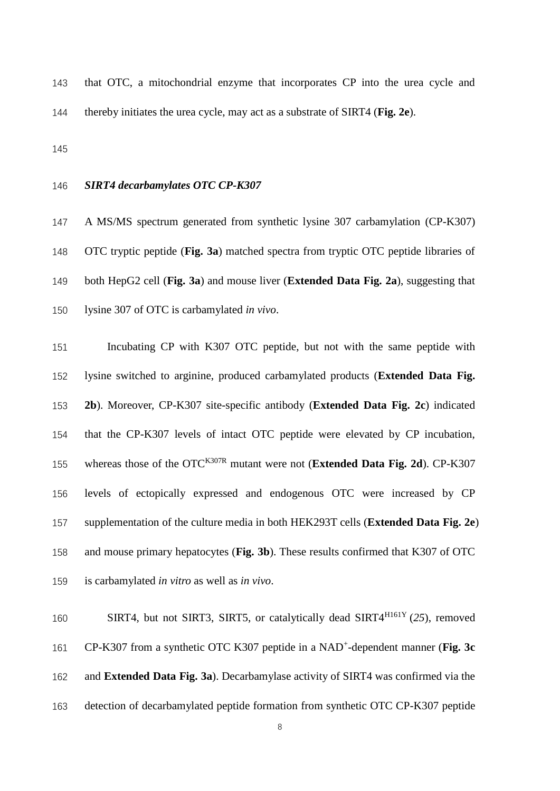that OTC, a mitochondrial enzyme that incorporates CP into the urea cycle and thereby initiates the urea cycle, may act as a substrate of SIRT4 (**Fig. 2e**).

# *SIRT4 decarbamylates OTC CP-K307*

 A MS/MS spectrum generated from synthetic lysine 307 carbamylation (CP-K307) OTC tryptic peptide (**Fig. 3a**) matched spectra from tryptic OTC peptide libraries of both HepG2 cell (**Fig. 3a**) and mouse liver (**Extended Data Fig. 2a**), suggesting that lysine 307 of OTC is carbamylated *in vivo*.

 Incubating CP with K307 OTC peptide, but not with the same peptide with lysine switched to arginine, produced carbamylated products (**Extended Data Fig. 2b**). Moreover, CP-K307 site-specific antibody (**Extended Data Fig. 2c**) indicated that the CP-K307 levels of intact OTC peptide were elevated by CP incubation, 155 whereas those of the OTC<sup>K307R</sup> mutant were not (**Extended Data Fig. 2d**). CP-K307 levels of ectopically expressed and endogenous OTC were increased by CP supplementation of the culture media in both HEK293T cells (**Extended Data Fig. 2e**) and mouse primary hepatocytes (**Fig. 3b**). These results confirmed that K307 of OTC is carbamylated *in vitro* as well as *in vivo*.

160 SIRT4, but not SIRT3, SIRT5, or catalytically dead SIRT4<sup>H161Y</sup> (25), removed 161 CP-K307 from a synthetic OTC K307 peptide in a NAD<sup>+</sup>-dependent manner (Fig. 3c and **Extended Data Fig. 3a**). Decarbamylase activity of SIRT4 was confirmed via the detection of decarbamylated peptide formation from synthetic OTC CP-K307 peptide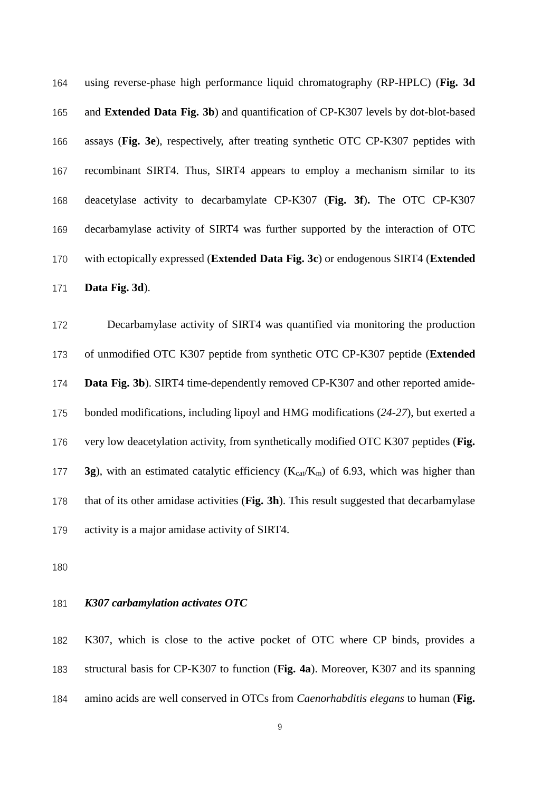using reverse-phase high performance liquid chromatography (RP-HPLC) (**Fig. 3d** and **Extended Data Fig. 3b**) and quantification of CP-K307 levels by dot-blot-based assays (**Fig. 3e**), respectively, after treating synthetic OTC CP-K307 peptides with recombinant SIRT4. Thus, SIRT4 appears to employ a mechanism similar to its deacetylase activity to decarbamylate CP-K307 (**Fig. 3f**)**.** The OTC CP-K307 decarbamylase activity of SIRT4 was further supported by the interaction of OTC with ectopically expressed (**Extended Data Fig. 3c**) or endogenous SIRT4 (**Extended Data Fig. 3d**).

 Decarbamylase activity of SIRT4 was quantified via monitoring the production of unmodified OTC K307 peptide from synthetic OTC CP-K307 peptide (**Extended Data Fig. 3b**). SIRT4 time-dependently removed CP-K307 and other reported amide- bonded modifications, including lipoyl and HMG modifications (*24-27*), but exerted a very low deacetylation activity, from synthetically modified OTC K307 peptides (**Fig. 3g**), with an estimated catalytic efficiency ( $K_{cat}/K_m$ ) of 6.93, which was higher than that of its other amidase activities (**Fig. 3h**). This result suggested that decarbamylase activity is a major amidase activity of SIRT4.

### *K307 carbamylation activates OTC*

 K307, which is close to the active pocket of OTC where CP binds, provides a structural basis for CP-K307 to function (**Fig. 4a**). Moreover, K307 and its spanning amino acids are well conserved in OTCs from *Caenorhabditis elegans* to human (**Fig.**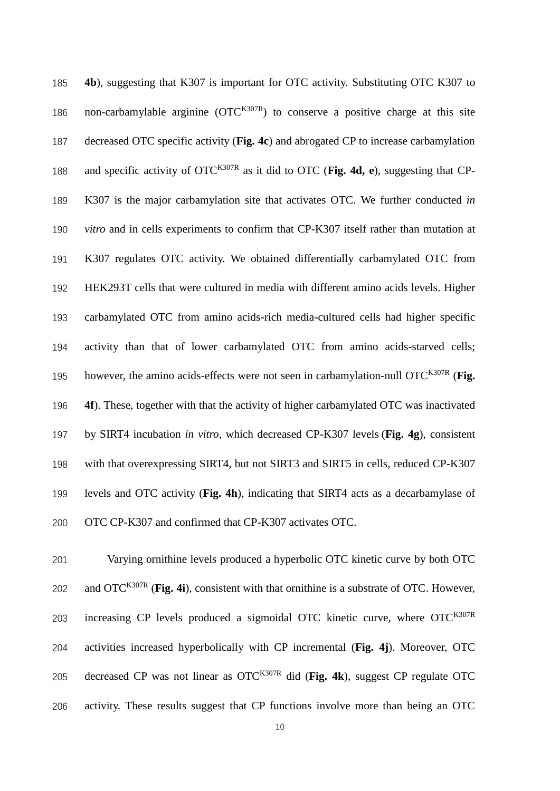**4b**), suggesting that K307 is important for OTC activity. Substituting OTC K307 to 186 non-carbamylable arginine  $(OTC^{K307R})$  to conserve a positive charge at this site decreased OTC specific activity (**Fig. 4c**) and abrogated CP to increase carbamylation and specific activity of  $\text{OTC}^{\text{K307R}}$  as it did to OTC (**Fig. 4d, e**), suggesting that CP- K307 is the major carbamylation site that activates OTC. We further conducted *in vitro* and in cells experiments to confirm that CP-K307 itself rather than mutation at K307 regulates OTC activity. We obtained differentially carbamylated OTC from HEK293T cells that were cultured in media with different amino acids levels. Higher carbamylated OTC from amino acids-rich media-cultured cells had higher specific activity than that of lower carbamylated OTC from amino acids-starved cells; 195 however, the amino acids-effects were not seen in carbamylation-null OTC<sup>K307R</sup> (**Fig. 4f**). These, together with that the activity of higher carbamylated OTC was inactivated by SIRT4 incubation *in vitro*, which decreased CP-K307 levels (**Fig. 4g**), consistent with that overexpressing SIRT4, but not SIRT3 and SIRT5 in cells, reduced CP-K307 levels and OTC activity (**Fig. 4h**), indicating that SIRT4 acts as a decarbamylase of OTC CP-K307 and confirmed that CP-K307 activates OTC.

 Varying ornithine levels produced a hyperbolic OTC kinetic curve by both OTC 202 and OTC<sup>K307R</sup> (Fig. 4i), consistent with that ornithine is a substrate of OTC. However, 203 increasing CP levels produced a sigmoidal OTC kinetic curve, where  $\text{OTC}^{\text{K307R}}$  activities increased hyperbolically with CP incremental (**Fig. 4j**). Moreover, OTC 205 decreased CP was not linear as  $\text{OTC}^{\text{K307R}}$  did (Fig. 4k), suggest CP regulate OTC activity. These results suggest that CP functions involve more than being an OTC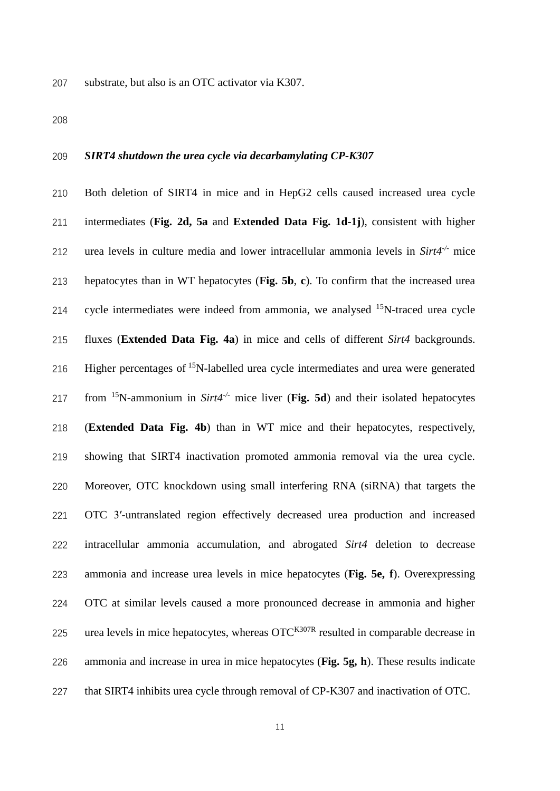substrate, but also is an OTC activator via K307.

### *SIRT4 shutdown the urea cycle via decarbamylating CP-K307*

 Both deletion of SIRT4 in mice and in HepG2 cells caused increased urea cycle intermediates (**Fig. 2d, 5a** and **Extended Data Fig. 1d-1j**), consistent with higher *urea levels in culture media and lower intracellular ammonia levels in*  $\text{Sirt4}^{\perp}$  *mice*  hepatocytes than in WT hepatocytes (**Fig. 5b**, **c**). To confirm that the increased urea 214 cycle intermediates were indeed from ammonia, we analysed  $15N$ -traced urea cycle fluxes (**Extended Data Fig. 4a**) in mice and cells of different *Sirt4* backgrounds. 216 Higher percentages of  $15N$ -labelled urea cycle intermediates and urea were generated 217 from <sup>15</sup>N-ammonium in *Sirt4<sup>-/-</sup>* mice liver (Fig. 5d) and their isolated hepatocytes (**Extended Data Fig. 4b**) than in WT mice and their hepatocytes, respectively, showing that SIRT4 inactivation promoted ammonia removal via the urea cycle. Moreover, OTC knockdown using small interfering RNA (siRNA) that targets the OTC 3′-untranslated region effectively decreased urea production and increased intracellular ammonia accumulation, and abrogated *Sirt4* deletion to decrease ammonia and increase urea levels in mice hepatocytes (**Fig. 5e, f**). Overexpressing OTC at similar levels caused a more pronounced decrease in ammonia and higher 225 urea levels in mice hepatocytes, whereas  $\text{OTC}^{K307R}$  resulted in comparable decrease in ammonia and increase in urea in mice hepatocytes (**Fig. 5g, h**). These results indicate that SIRT4 inhibits urea cycle through removal of CP-K307 and inactivation of OTC.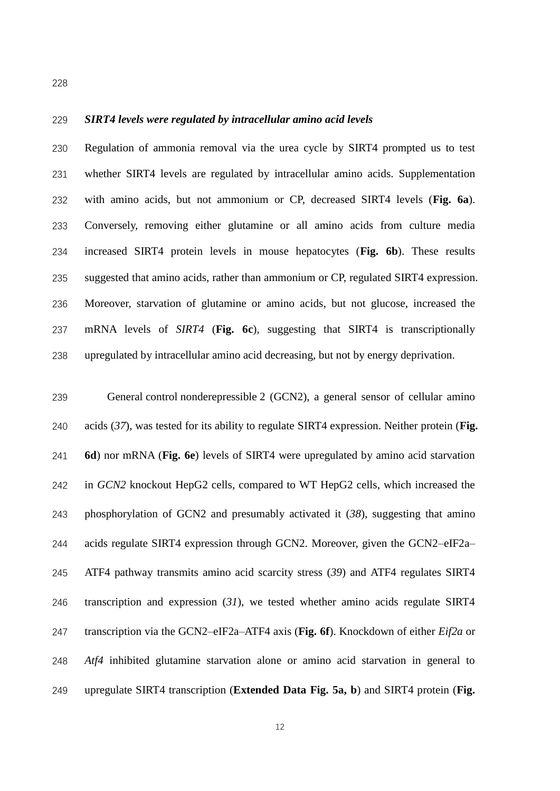### *SIRT4 levels were regulated by intracellular amino acid levels*

 Regulation of ammonia removal via the urea cycle by SIRT4 prompted us to test whether SIRT4 levels are regulated by intracellular amino acids. Supplementation with amino acids, but not ammonium or CP, decreased SIRT4 levels (**Fig. 6a**). Conversely, removing either glutamine or all amino acids from culture media increased SIRT4 protein levels in mouse hepatocytes (**Fig. 6b**). These results suggested that amino acids, rather than ammonium or CP, regulated SIRT4 expression. Moreover, starvation of glutamine or amino acids, but not glucose, increased the mRNA levels of *SIRT4* (**Fig. 6c**), suggesting that SIRT4 is transcriptionally upregulated by intracellular amino acid decreasing, but not by energy deprivation.

 General control nonderepressible 2 (GCN2), a general sensor of cellular amino acids (*37*), was tested for its ability to regulate SIRT4 expression. Neither protein (**Fig. 6d**) nor mRNA (**Fig. 6e**) levels of SIRT4 were upregulated by amino acid starvation in *GCN2* knockout HepG2 cells, compared to WT HepG2 cells, which increased the phosphorylation of GCN2 and presumably activated it (*38*), suggesting that amino acids regulate SIRT4 expression through GCN2. Moreover, given the GCN2–eIF2a– ATF4 pathway transmits amino acid scarcity stress (*39*) and ATF4 regulates SIRT4 transcription and expression (*31*), we tested whether amino acids regulate SIRT4 transcription via the GCN2–eIF2a–ATF4 axis (**Fig. 6f**). Knockdown of either *Eif2a* or *Atf4* inhibited glutamine starvation alone or amino acid starvation in general to upregulate SIRT4 transcription (**Extended Data Fig. 5a, b**) and SIRT4 protein (**Fig.**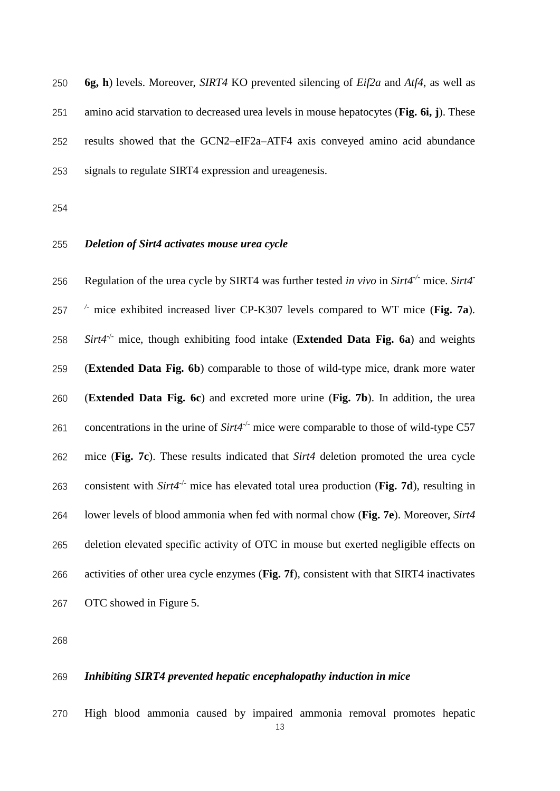**6g, h**) levels. Moreover, *SIRT4* KO prevented silencing of *Eif2a* and *Atf4*, as well as amino acid starvation to decreased urea levels in mouse hepatocytes (**Fig. 6i, j**). These results showed that the GCN2–eIF2a–ATF4 axis conveyed amino acid abundance signals to regulate SIRT4 expression and ureagenesis.

# *Deletion of Sirt4 activates mouse urea cycle*

Regulation of the urea cycle by SIRT4 was further tested *in vivo* in *Sirt4-/-* mice. *Sirt4- /-* mice exhibited increased liver CP-K307 levels compared to WT mice (**Fig. 7a**).  $Sirt4^{-/-}$  mice, though exhibiting food intake (**Extended Data Fig. 6a**) and weights (**Extended Data Fig. 6b**) comparable to those of wild-type mice, drank more water (**Extended Data Fig. 6c**) and excreted more urine (**Fig. 7b**). In addition, the urea 261 concentrations in the urine of  $Sirt4^{-/-}$  mice were comparable to those of wild-type C57 mice (**Fig. 7c**). These results indicated that *Sirt4* deletion promoted the urea cycle 263 consistent with  $Sirt4^{-/-}$  mice has elevated total urea production (**Fig. 7d**), resulting in lower levels of blood ammonia when fed with normal chow (**Fig. 7e**). Moreover, *Sirt4* deletion elevated specific activity of OTC in mouse but exerted negligible effects on activities of other urea cycle enzymes (**Fig. 7f**), consistent with that SIRT4 inactivates OTC showed in Figure 5.

### *Inhibiting SIRT4 prevented hepatic encephalopathy induction in mice*

High blood ammonia caused by impaired ammonia removal promotes hepatic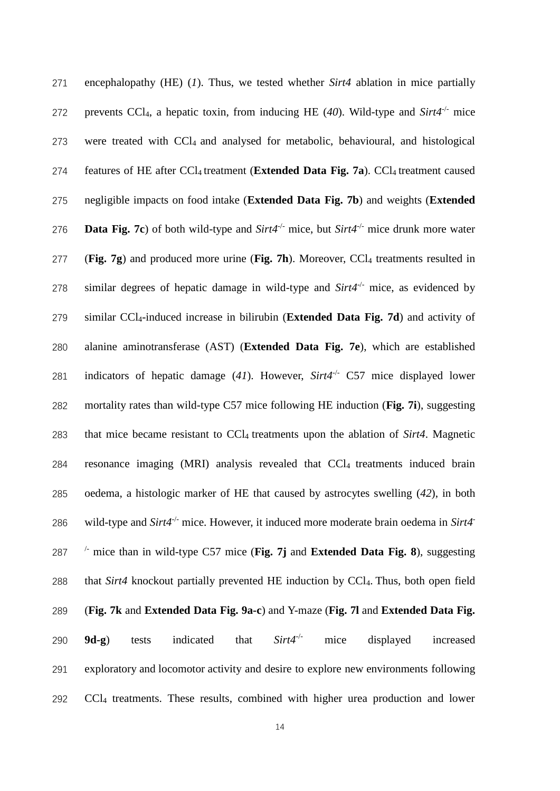| 271 | encephalopathy (HE) $(1)$ . Thus, we tested whether Sirt4 ablation in mice partially                        |  |  |  |  |
|-----|-------------------------------------------------------------------------------------------------------------|--|--|--|--|
| 272 | prevents CCl <sub>4</sub> , a hepatic toxin, from inducing HE (40). Wild-type and Sirt4 <sup>-/-</sup> mice |  |  |  |  |
| 273 | were treated with CCl <sub>4</sub> and analysed for metabolic, behavioural, and histological                |  |  |  |  |
| 274 | features of HE after CCl <sub>4</sub> treatment (Extended Data Fig. 7a). CCl <sub>4</sub> treatment caused  |  |  |  |  |
| 275 | negligible impacts on food intake (Extended Data Fig. 7b) and weights (Extended                             |  |  |  |  |
| 276 | <b>Data Fig. 7c</b> ) of both wild-type and $Sirt4^{-/-}$ mice, but $Sirt4^{-/-}$ mice drunk more water     |  |  |  |  |
| 277 | (Fig. 7g) and produced more urine (Fig. 7h). Moreover, $CCI4$ treatments resulted in                        |  |  |  |  |
| 278 | similar degrees of hepatic damage in wild-type and $Sirt4^{-/-}$ mice, as evidenced by                      |  |  |  |  |
| 279 | similar CCl <sub>4</sub> -induced increase in bilirubin (Extended Data Fig. 7d) and activity of             |  |  |  |  |
| 280 | alanine aminotransferase (AST) (Extended Data Fig. 7e), which are established                               |  |  |  |  |
| 281 | indicators of hepatic damage (41). However, $Sirt4^{-/-}$ C57 mice displayed lower                          |  |  |  |  |
| 282 | mortality rates than wild-type C57 mice following HE induction (Fig. 7i), suggesting                        |  |  |  |  |
| 283 | that mice became resistant to CCl <sub>4</sub> treatments upon the ablation of Sirt4. Magnetic              |  |  |  |  |
| 284 | resonance imaging (MRI) analysis revealed that CCl <sub>4</sub> treatments induced brain                    |  |  |  |  |
| 285 | oedema, a histologic marker of HE that caused by astrocytes swelling (42), in both                          |  |  |  |  |
| 286 | wild-type and $Sirt4^{-/-}$ mice. However, it induced more moderate brain oedema in $Sirt4^{-}$             |  |  |  |  |
| 287 | $\frac{1}{2}$ mice than in wild-type C57 mice (Fig. 7j and Extended Data Fig. 8), suggesting                |  |  |  |  |
| 288 | that Sirt4 knockout partially prevented HE induction by CCl <sub>4</sub> . Thus, both open field            |  |  |  |  |
| 289 | (Fig. 7k and Extended Data Fig. 9a-c) and Y-maze (Fig. 7l and Extended Data Fig.                            |  |  |  |  |
| 290 | $Sirt4^{-/-}$<br>mice<br>displayed<br>indicated<br>that<br>$9d-g$ )<br>increased<br>tests                   |  |  |  |  |
| 291 | exploratory and locomotor activity and desire to explore new environments following                         |  |  |  |  |
| 292 | CCl <sub>4</sub> treatments. These results, combined with higher urea production and lower                  |  |  |  |  |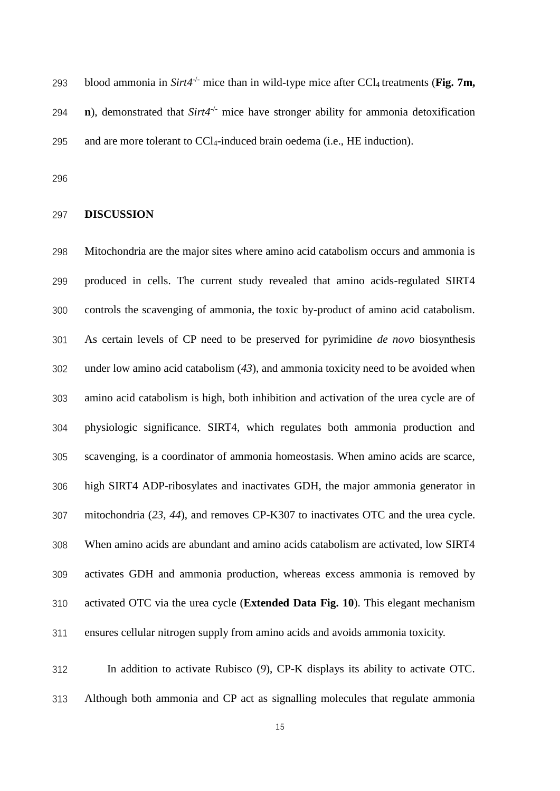blood ammonia in *Sirt4<sup>-/-</sup>* mice than in wild-type mice after CCl<sub>4</sub> treatments (**Fig. 7m,** 294  $\bullet$  **n**), demonstrated that *Sirt4<sup>-/-</sup>* mice have stronger ability for ammonia detoxification and are more tolerant to CCl4-induced brain oedema (i.e., HE induction).

#### **DISCUSSION**

 Mitochondria are the major sites where amino acid catabolism occurs and ammonia is produced in cells. The current study revealed that amino acids-regulated SIRT4 controls the scavenging of ammonia, the toxic by-product of amino acid catabolism. As certain levels of CP need to be preserved for pyrimidine *de novo* biosynthesis under low amino acid catabolism (*43*), and ammonia toxicity need to be avoided when amino acid catabolism is high, both inhibition and activation of the urea cycle are of physiologic significance. SIRT4, which regulates both ammonia production and scavenging, is a coordinator of ammonia homeostasis. When amino acids are scarce, high SIRT4 ADP-ribosylates and inactivates GDH, the major ammonia generator in mitochondria (*23, 44*), and removes CP-K307 to inactivates OTC and the urea cycle. When amino acids are abundant and amino acids catabolism are activated, low SIRT4 activates GDH and ammonia production, whereas excess ammonia is removed by activated OTC via the urea cycle (**Extended Data Fig. 10**). This elegant mechanism ensures cellular nitrogen supply from amino acids and avoids ammonia toxicity.

 In addition to activate Rubisco (*9*), CP-K displays its ability to activate OTC. Although both ammonia and CP act as signalling molecules that regulate ammonia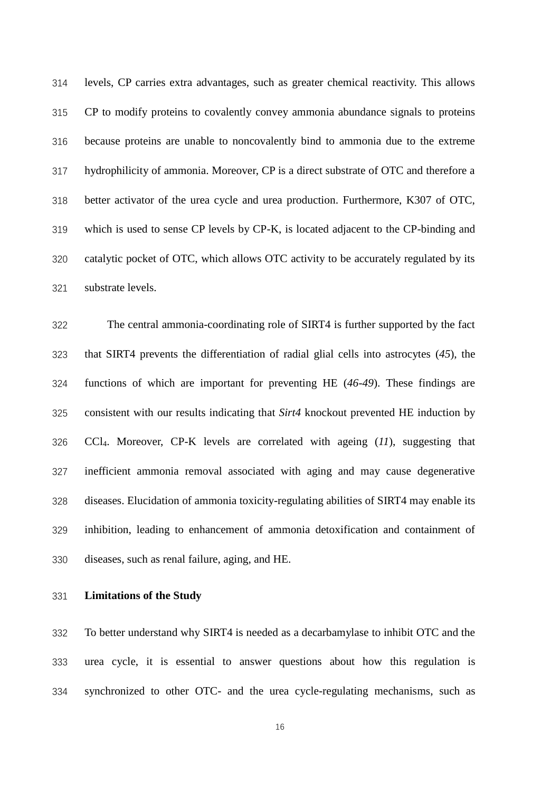levels, CP carries extra advantages, such as greater chemical reactivity. This allows CP to modify proteins to covalently convey ammonia abundance signals to proteins because proteins are unable to noncovalently bind to ammonia due to the extreme hydrophilicity of ammonia. Moreover, CP is a direct substrate of OTC and therefore a better activator of the urea cycle and urea production. Furthermore, K307 of OTC, which is used to sense CP levels by CP-K, is located adjacent to the CP-binding and catalytic pocket of OTC, which allows OTC activity to be accurately regulated by its substrate levels.

 The central ammonia-coordinating role of SIRT4 is further supported by the fact that SIRT4 prevents the differentiation of radial glial cells into astrocytes (*45*), the functions of which are important for preventing HE (*46-49*). These findings are consistent with our results indicating that *Sirt4* knockout prevented HE induction by CCl4. Moreover, CP-K levels are correlated with ageing (*11*), suggesting that inefficient ammonia removal associated with aging and may cause degenerative diseases. Elucidation of ammonia toxicity-regulating abilities of SIRT4 may enable its inhibition, leading to enhancement of ammonia detoxification and containment of diseases, such as renal failure, aging, and HE.

### **Limitations of the Study**

 To better understand why SIRT4 is needed as a decarbamylase to inhibit OTC and the urea cycle, it is essential to answer questions about how this regulation is synchronized to other OTC- and the urea cycle-regulating mechanisms, such as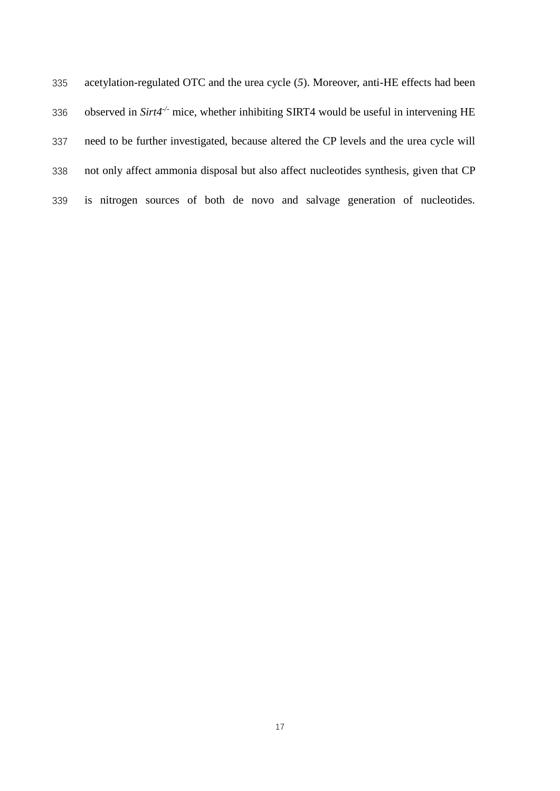| 335 | acetylation-regulated OTC and the urea cycle (5). Moreover, anti-HE effects had been       |  |  |  |  |  |
|-----|--------------------------------------------------------------------------------------------|--|--|--|--|--|
| 336 | observed in $Sirt4^{-/-}$ mice, whether inhibiting SIRT4 would be useful in intervening HE |  |  |  |  |  |
| 337 | need to be further investigated, because altered the CP levels and the urea cycle will     |  |  |  |  |  |
| 338 | not only affect ammonia disposal but also affect nucleotides synthesis, given that CP      |  |  |  |  |  |
| 339 | is nitrogen sources of both de novo and salvage generation of nucleotides.                 |  |  |  |  |  |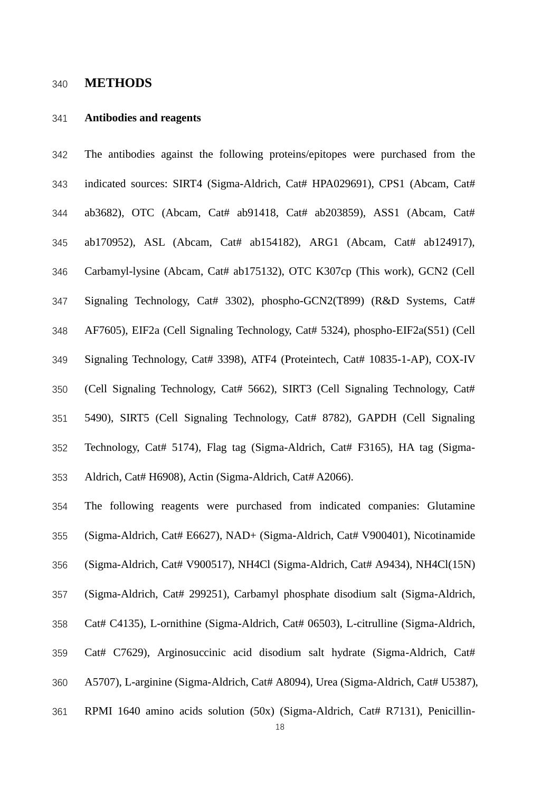# **METHODS**

#### **Antibodies and reagents**

 The antibodies against the following proteins/epitopes were purchased from the 343 indicated sources: SIRT4 (Sigma-Aldrich, Cat# HPA029691), CPS1 (Abcam, Cat# ab3682), OTC (Abcam, Cat# ab91418, Cat# ab203859), ASS1 (Abcam, Cat# ab170952), ASL (Abcam, Cat# ab154182), ARG1 (Abcam, Cat# ab124917), Carbamyl-lysine (Abcam, Cat# ab175132), OTC K307cp (This work), GCN2 (Cell Signaling Technology, Cat# 3302), phospho-GCN2(T899) (R&D Systems, Cat# AF7605), EIF2a (Cell Signaling Technology, Cat# 5324), phospho-EIF2a(S51) (Cell Signaling Technology, Cat# 3398), ATF4 (Proteintech, Cat# 10835-1-AP), COX-IV (Cell Signaling Technology, Cat# 5662), SIRT3 (Cell Signaling Technology, Cat# 5490), SIRT5 (Cell Signaling Technology, Cat# 8782), GAPDH (Cell Signaling Technology, Cat# 5174), Flag tag (Sigma-Aldrich, Cat# F3165), HA tag (Sigma-Aldrich, Cat# H6908), Actin (Sigma-Aldrich, Cat# A2066).

 The following reagents were purchased from indicated companies: Glutamine (Sigma-Aldrich, Cat# E6627), NAD+ (Sigma-Aldrich, Cat# V900401), Nicotinamide (Sigma-Aldrich, Cat# V900517), NH4Cl (Sigma-Aldrich, Cat# A9434), NH4Cl(15N) (Sigma-Aldrich, Cat# 299251), Carbamyl phosphate disodium salt (Sigma-Aldrich, Cat# C4135), L-ornithine (Sigma-Aldrich, Cat# 06503), L-citrulline (Sigma-Aldrich, Cat# C7629), Arginosuccinic acid disodium salt hydrate (Sigma-Aldrich, Cat# A5707), L-arginine (Sigma-Aldrich, Cat# A8094), Urea (Sigma-Aldrich, Cat# U5387), RPMI 1640 amino acids solution (50x) (Sigma-Aldrich, Cat# R7131), Penicillin-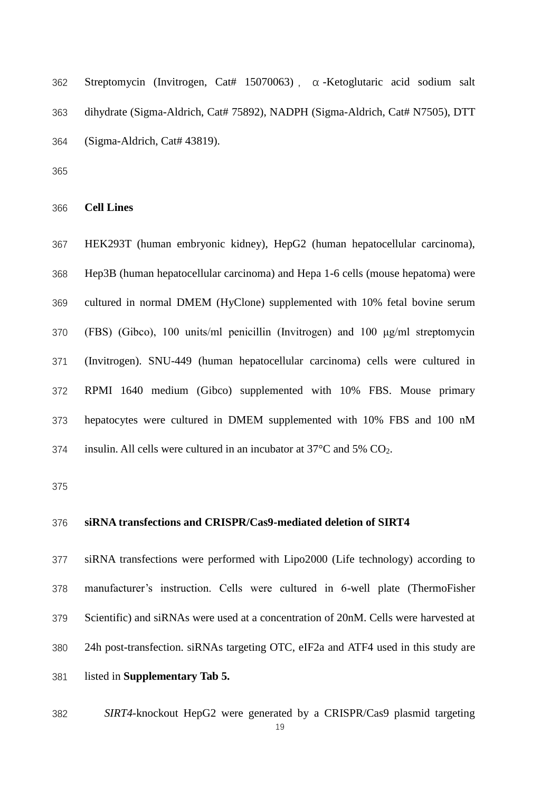| 362 | Streptomycin (Invitrogen, Cat# 15070063), $\alpha$ -Ketoglutaric acid sodium salt |
|-----|-----------------------------------------------------------------------------------|
| 363 | dihydrate (Sigma-Aldrich, Cat# 75892), NADPH (Sigma-Aldrich, Cat# N7505), DTT     |
| 364 | $(Sigma-Aldrich, Cat# 43819).$                                                    |

**Cell Lines**

 HEK293T (human embryonic kidney), HepG2 (human hepatocellular carcinoma), Hep3B (human hepatocellular carcinoma) and Hepa 1-6 cells (mouse hepatoma) were cultured in normal DMEM (HyClone) supplemented with 10% fetal bovine serum (FBS) (Gibco), 100 units/ml penicillin (Invitrogen) and 100 μg/ml streptomycin (Invitrogen). SNU-449 (human hepatocellular carcinoma) cells were cultured in RPMI 1640 medium (Gibco) supplemented with 10% FBS. Mouse primary hepatocytes were cultured in DMEM supplemented with 10% FBS and 100 nM 374 insulin. All cells were cultured in an incubator at  $37^{\circ}$ C and  $5\%$  CO<sub>2</sub>.

# **siRNA transfections and CRISPR/Cas9-mediated deletion of SIRT4**

 siRNA transfections were performed with Lipo2000 (Life technology) according to manufacturer's instruction. Cells were cultured in 6-well plate (ThermoFisher Scientific) and siRNAs were used at a concentration of 20nM. Cells were harvested at 24h post-transfection. siRNAs targeting OTC, eIF2a and ATF4 used in this study are listed in **Supplementary Tab 5.**

*SIRT4*-knockout HepG2 were generated by a CRISPR/Cas9 plasmid targeting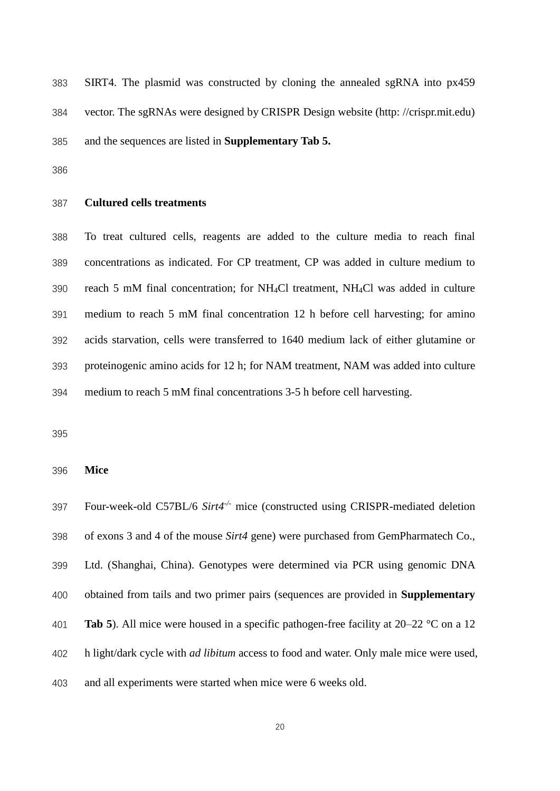SIRT4. The plasmid was constructed by cloning the annealed sgRNA into px459 vector. The sgRNAs were designed by CRISPR Design website (http: //crispr.mit.edu) and the sequences are listed in **Supplementary Tab 5.**

#### **Cultured cells treatments**

 To treat cultured cells, reagents are added to the culture media to reach final concentrations as indicated. For CP treatment, CP was added in culture medium to reach 5 mM final concentration; for NH4Cl treatment, NH4Cl was added in culture medium to reach 5 mM final concentration 12 h before cell harvesting; for amino acids starvation, cells were transferred to 1640 medium lack of either glutamine or proteinogenic amino acids for 12 h; for NAM treatment, NAM was added into culture medium to reach 5 mM final concentrations 3-5 h before cell harvesting.

**Mice**

```
397 Four-week-old C57BL/6 Sirt4<sup>-/-</sup> mice (constructed using CRISPR-mediated deletion
398 of exons 3 and 4 of the mouse Sirt4 gene) were purchased from GemPharmatech Co., 
399 Ltd. (Shanghai, China). Genotypes were determined via PCR using genomic DNA 
400 obtained from tails and two primer pairs (sequences are provided in Supplementary
401 Tab 5). All mice were housed in a specific pathogen-free facility at 20–22 °C on a 12 
402 h light/dark cycle with ad libitum access to food and water. Only male mice were used, 
403 and all experiments were started when mice were 6 weeks old.
```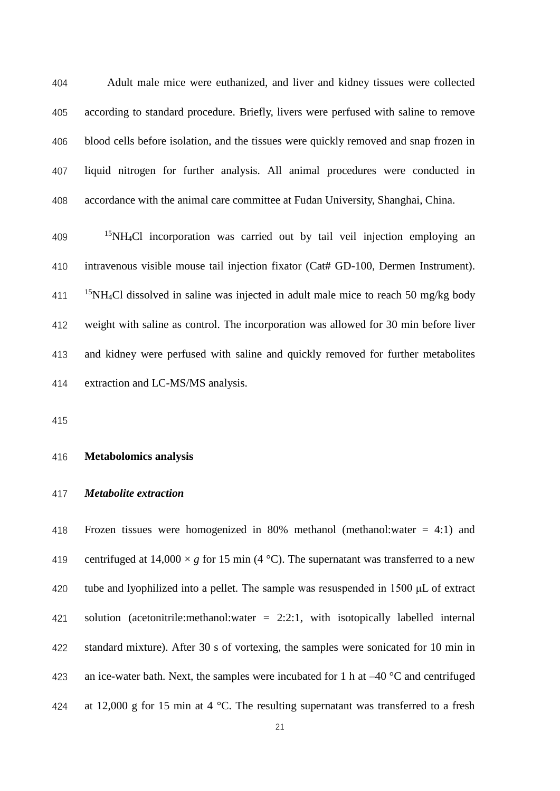Adult male mice were euthanized, and liver and kidney tissues were collected according to standard procedure. Briefly, livers were perfused with saline to remove blood cells before isolation, and the tissues were quickly removed and snap frozen in liquid nitrogen for further analysis. All animal procedures were conducted in accordance with the animal care committee at Fudan University, Shanghai, China.

 NH4Cl incorporation was carried out by tail veil injection employing an intravenous visible mouse tail injection fixator (Cat# GD-100, Dermen Instrument). <sup>15</sup>NH<sub>4</sub>Cl dissolved in saline was injected in adult male mice to reach 50 mg/kg body weight with saline as control. The incorporation was allowed for 30 min before liver and kidney were perfused with saline and quickly removed for further metabolites extraction and LC-MS/MS analysis.

#### **Metabolomics analysis**

#### *Metabolite extraction*

418 Frozen tissues were homogenized in 80% methanol (methanol: water  $= 4:1$ ) and 419 centrifuged at  $14,000 \times g$  for 15 min (4 °C). The supernatant was transferred to a new tube and lyophilized into a pellet. The sample was resuspended in 1500 μL of extract solution (acetonitrile:methanol:water = 2:2:1, with isotopically labelled internal standard mixture). After 30 s of vortexing, the samples were sonicated for 10 min in 423 an ice-water bath. Next, the samples were incubated for 1 h at  $-40$  °C and centrifuged 424 at 12,000 g for 15 min at 4  $^{\circ}$ C. The resulting supernatant was transferred to a fresh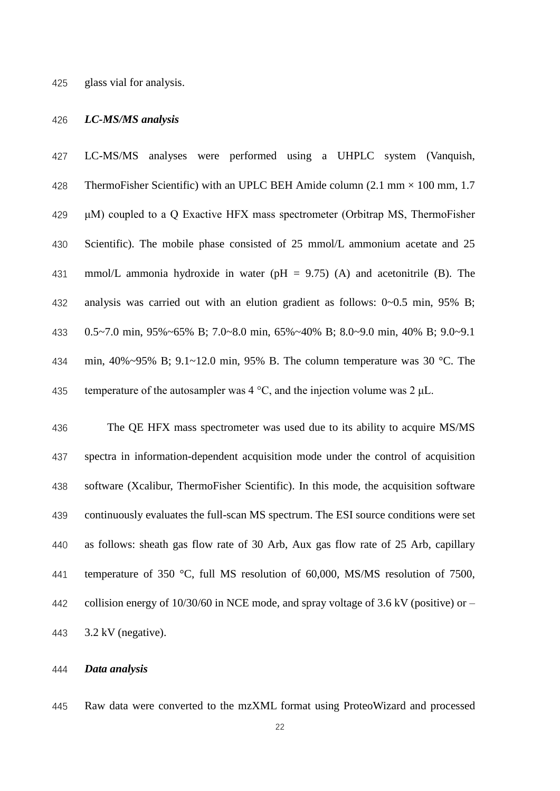glass vial for analysis.

#### *LC-MS/MS analysis*

 LC-MS/MS analyses were performed using a UHPLC system (Vanquish, 428 ThermoFisher Scientific) with an UPLC BEH Amide column  $(2.1 \text{ mm} \times 100 \text{ mm}, 1.7)$  μM) coupled to a Q Exactive HFX mass spectrometer (Orbitrap MS, ThermoFisher Scientific). The mobile phase consisted of 25 mmol/L ammonium acetate and 25 431 mmol/L ammonia hydroxide in water ( $pH = 9.75$ ) (A) and acetonitrile (B). The analysis was carried out with an elution gradient as follows: 0~0.5 min, 95% B; 0.5~7.0 min, 95%~65% B; 7.0~8.0 min, 65%~40% B; 8.0~9.0 min, 40% B; 9.0~9.1 min, 40%~95% B; 9.1~12.0 min, 95% B. The column temperature was 30 °C. The 435 temperature of the autosampler was  $4^{\circ}$ C, and the injection volume was  $2 \mu L$ .

 The QE HFX mass spectrometer was used due to its ability to acquire MS/MS spectra in information-dependent acquisition mode under the control of acquisition software (Xcalibur, ThermoFisher Scientific). In this mode, the acquisition software continuously evaluates the full-scan MS spectrum. The ESI source conditions were set as follows: sheath gas flow rate of 30 Arb, Aux gas flow rate of 25 Arb, capillary temperature of 350 °C, full MS resolution of 60,000, MS/MS resolution of 7500, 442 collision energy of  $10/30/60$  in NCE mode, and spray voltage of 3.6 kV (positive) or – 3.2 kV (negative).

#### *Data analysis*

Raw data were converted to the mzXML format using ProteoWizard and processed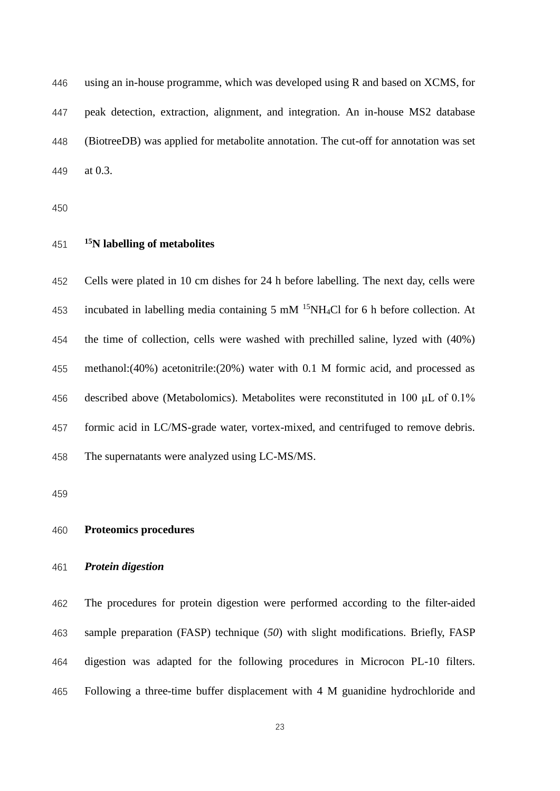using an in-house programme, which was developed using R and based on XCMS, for peak detection, extraction, alignment, and integration. An in-house MS2 database (BiotreeDB) was applied for metabolite annotation. The cut-off for annotation was set at 0.3.

# **<sup>15</sup>N labelling of metabolites**

 Cells were plated in 10 cm dishes for 24 h before labelling. The next day, cells were 453 incubated in labelling media containing 5 mM  $^{15}$ NH<sub>4</sub>Cl for 6 h before collection. At the time of collection, cells were washed with prechilled saline, lyzed with (40%) methanol:(40%) acetonitrile:(20%) water with 0.1 M formic acid, and processed as described above (Metabolomics). Metabolites were reconstituted in 100 μL of 0.1% formic acid in LC/MS-grade water, vortex-mixed, and centrifuged to remove debris. The supernatants were analyzed using LC-MS/MS.

# **Proteomics procedures**

### *Protein digestion*

 The procedures for protein digestion were performed according to the filter-aided sample preparation (FASP) technique (*50*) with slight modifications. Briefly, FASP digestion was adapted for the following procedures in Microcon PL-10 filters. Following a three-time buffer displacement with 4 M guanidine hydrochloride and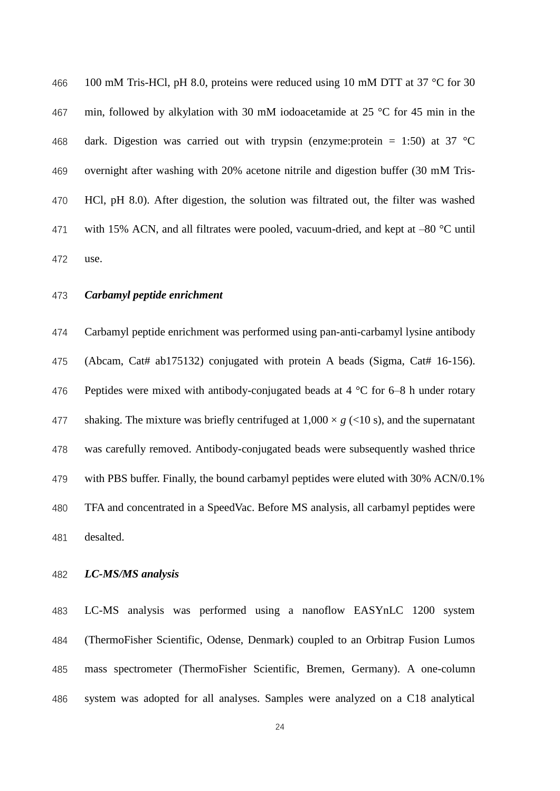466 100 mM Tris-HCl, pH 8.0, proteins were reduced using 10 mM DTT at 37 °C for 30 min, followed by alkylation with 30 mM iodoacetamide at 25 °C for 45 min in the 468 dark. Digestion was carried out with trypsin (enzyme:protein = 1:50) at 37  $^{\circ}$ C overnight after washing with 20% acetone nitrile and digestion buffer (30 mM Tris- HCl, pH 8.0). After digestion, the solution was filtrated out, the filter was washed 471 with 15% ACN, and all filtrates were pooled, vacuum-dried, and kept at  $-80$  °C until use.

*Carbamyl peptide enrichment*

 Carbamyl peptide enrichment was performed using pan-anti-carbamyl lysine antibody (Abcam, Cat# ab175132) conjugated with protein A beads (Sigma, Cat# 16-156). 476 Peptides were mixed with antibody-conjugated beads at  $4^{\circ}$ C for 6–8 h under rotary 477 shaking. The mixture was briefly centrifuged at  $1,000 \times g$  (<10 s), and the supernatant was carefully removed. Antibody-conjugated beads were subsequently washed thrice with PBS buffer. Finally, the bound carbamyl peptides were eluted with 30% ACN/0.1% TFA and concentrated in a SpeedVac. Before MS analysis, all carbamyl peptides were desalted.

### *LC-MS/MS analysis*

 LC-MS analysis was performed using a nanoflow EASYnLC 1200 system (ThermoFisher Scientific, Odense, Denmark) coupled to an Orbitrap Fusion Lumos mass spectrometer (ThermoFisher Scientific, Bremen, Germany). A one-column system was adopted for all analyses. Samples were analyzed on a C18 analytical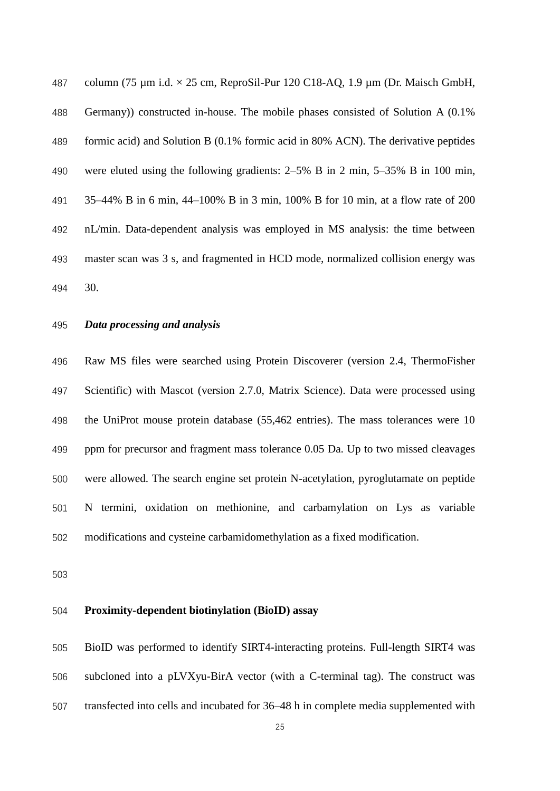487 column (75  $\mu$ m i.d.  $\times$  25 cm, ReproSil-Pur 120 C18-AQ, 1.9  $\mu$ m (Dr. Maisch GmbH, Germany)) constructed in-house. The mobile phases consisted of Solution A (0.1% formic acid) and Solution B (0.1% formic acid in 80% ACN). The derivative peptides were eluted using the following gradients: 2–5% B in 2 min, 5–35% B in 100 min, 35–44% B in 6 min, 44–100% B in 3 min, 100% B for 10 min, at a flow rate of 200 nL/min. Data-dependent analysis was employed in MS analysis: the time between master scan was 3 s, and fragmented in HCD mode, normalized collision energy was 30.

### *Data processing and analysis*

 Raw MS files were searched using Protein Discoverer (version 2.4, ThermoFisher Scientific) with Mascot (version 2.7.0, Matrix Science). Data were processed using the UniProt mouse protein database (55,462 entries). The mass tolerances were 10 ppm for precursor and fragment mass tolerance 0.05 Da. Up to two missed cleavages were allowed. The search engine set protein N-acetylation, pyroglutamate on peptide N termini, oxidation on methionine, and carbamylation on Lys as variable modifications and cysteine carbamidomethylation as a fixed modification.

#### **Proximity-dependent biotinylation (BioID) assay**

 BioID was performed to identify SIRT4-interacting proteins. Full-length SIRT4 was subcloned into a pLVXyu-BirA vector (with a C-terminal tag). The construct was transfected into cells and incubated for 36–48 h in complete media supplemented with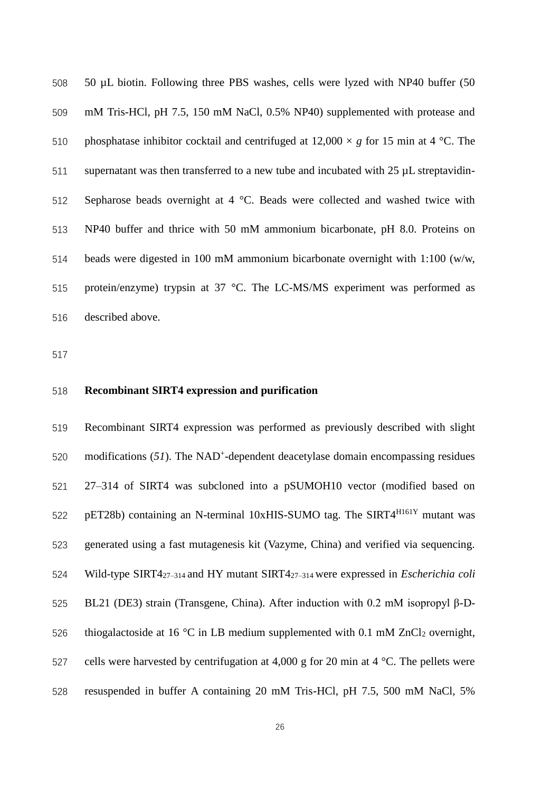50 µL biotin. Following three PBS washes, cells were lyzed with NP40 buffer (50 mM Tris-HCl, pH 7.5, 150 mM NaCl, 0.5% NP40) supplemented with protease and 510 phosphatase inhibitor cocktail and centrifuged at  $12,000 \times g$  for 15 min at 4 °C. The supernatant was then transferred to a new tube and incubated with 25 µL streptavidin- Sepharose beads overnight at 4 °C. Beads were collected and washed twice with NP40 buffer and thrice with 50 mM ammonium bicarbonate, pH 8.0. Proteins on beads were digested in 100 mM ammonium bicarbonate overnight with 1:100 (w/w, protein/enzyme) trypsin at 37 °C. The LC-MS/MS experiment was performed as described above.

### **Recombinant SIRT4 expression and purification**

 Recombinant SIRT4 expression was performed as previously described with slight modifications  $(51)$ . The NAD<sup>+</sup>-dependent deacetylase domain encompassing residues 27–314 of SIRT4 was subcloned into a pSUMOH10 vector (modified based on  $pET28b)$  containing an N-terminal 10xHIS-SUMO tag. The SIRT4 $^{H161Y}$  mutant was generated using a fast mutagenesis kit (Vazyme, China) and verified via sequencing. Wild-type SIRT427–314 and HY mutant SIRT427–314 were expressed in *Escherichia coli* BL21 (DE3) strain (Transgene, China). After induction with 0.2 mM isopropyl β-D-526 thiogalactoside at 16 °C in LB medium supplemented with 0.1 mM ZnCl<sub>2</sub> overnight, 527 cells were harvested by centrifugation at 4,000 g for 20 min at 4  $\degree$ C. The pellets were resuspended in buffer A containing 20 mM Tris-HCl, pH 7.5, 500 mM NaCl, 5%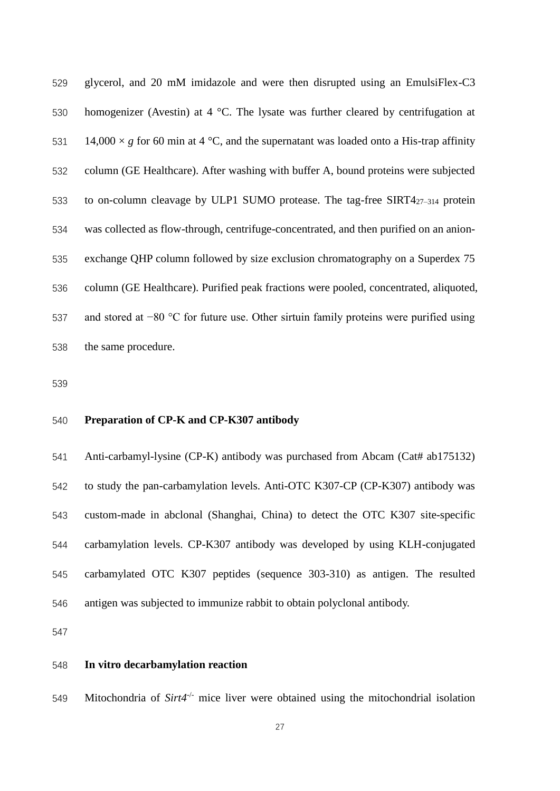glycerol, and 20 mM imidazole and were then disrupted using an EmulsiFlex-C3 homogenizer (Avestin) at 4 °C. The lysate was further cleared by centrifugation at 531 14,000  $\times$  *g* for 60 min at 4 °C, and the supernatant was loaded onto a His-trap affinity column (GE Healthcare). After washing with buffer A, bound proteins were subjected 533 to on-column cleavage by ULP1 SUMO protease. The tag-free  $SIRT4_{27-314}$  protein was collected as flow-through, centrifuge-concentrated, and then purified on an anion- exchange QHP column followed by size exclusion chromatography on a Superdex 75 column (GE Healthcare). Purified peak fractions were pooled, concentrated, aliquoted, and stored at −80 °C for future use. Other sirtuin family proteins were purified using the same procedure.

### **Preparation of CP-K and CP-K307 antibody**

 Anti-carbamyl-lysine (CP-K) antibody was purchased from Abcam (Cat# ab175132) to study the pan-carbamylation levels. Anti-OTC K307-CP (CP-K307) antibody was custom-made in abclonal (Shanghai, China) to detect the OTC K307 site-specific carbamylation levels. CP-K307 antibody was developed by using KLH-conjugated carbamylated OTC K307 peptides (sequence 303-310) as antigen. The resulted antigen was subjected to immunize rabbit to obtain polyclonal antibody.

### **In vitro decarbamylation reaction**

549 - Mitochondria of *Sirt4<sup>-/-</sup>* mice liver were obtained using the mitochondrial isolation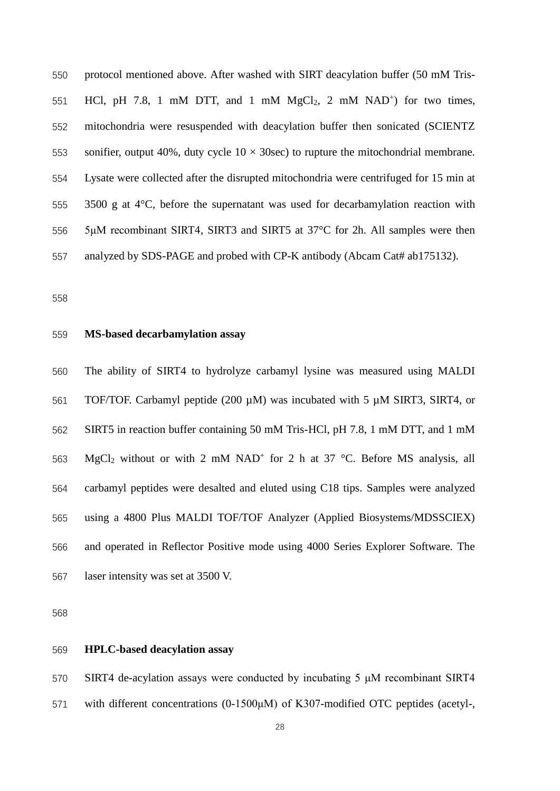protocol mentioned above. After washed with SIRT deacylation buffer (50 mM Tris-551 HCl, pH 7.8, 1 mM DTT, and 1 mM MgCl<sub>2</sub>, 2 mM NAD<sup>+</sup>) for two times, mitochondria were resuspended with deacylation buffer then sonicated (SCIENTZ 553 sonifier, output 40%, duty cycle  $10 \times 30$ sec) to rupture the mitochondrial membrane. Lysate were collected after the disrupted mitochondria were centrifuged for 15 min at 3500 g at 4°C, before the supernatant was used for decarbamylation reaction with 5μM recombinant SIRT4, SIRT3 and SIRT5 at 37°C for 2h. All samples were then 557 analyzed by SDS-PAGE and probed with CP-K antibody (Abcam Cat# ab175132).

#### **MS-based decarbamylation assay**

 The ability of SIRT4 to hydrolyze carbamyl lysine was measured using MALDI TOF/TOF. Carbamyl peptide (200 µM) was incubated with 5 µM SIRT3, SIRT4, or SIRT5 in reaction buffer containing 50 mM Tris-HCl, pH 7.8, 1 mM DTT, and 1 mM 563 MgCl<sub>2</sub> without or with 2 mM NAD<sup>+</sup> for 2 h at 37 °C. Before MS analysis, all carbamyl peptides were desalted and eluted using C18 tips. Samples were analyzed using a 4800 Plus MALDI TOF/TOF Analyzer (Applied Biosystems/MDSSCIEX) and operated in Reflector Positive mode using 4000 Series Explorer Software. The laser intensity was set at 3500 V.

#### **HPLC-based deacylation assay**

 SIRT4 de-acylation assays were conducted by incubating 5 μM recombinant SIRT4 with different concentrations (0-1500μM) of K307-modified OTC peptides (acetyl-,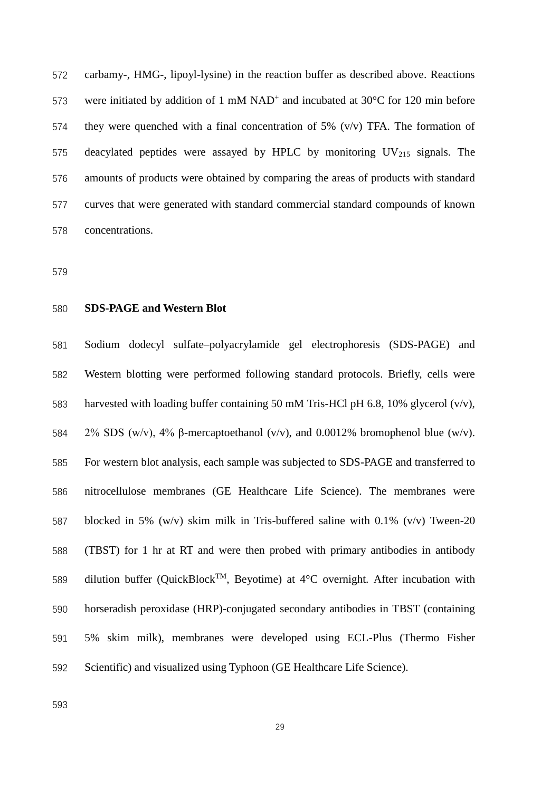carbamy-, HMG-, lipoyl-lysine) in the reaction buffer as described above. Reactions 573 were initiated by addition of 1 mM NAD<sup>+</sup> and incubated at 30 $\degree$ C for 120 min before 574 they were quenched with a final concentration of 5%  $(v/v)$  TFA. The formation of 575 deacylated peptides were assayed by HPLC by monitoring  $UV_{215}$  signals. The amounts of products were obtained by comparing the areas of products with standard curves that were generated with standard commercial standard compounds of known concentrations.

#### **SDS-PAGE and Western Blot**

 Sodium dodecyl sulfate–polyacrylamide gel electrophoresis (SDS-PAGE) and Western blotting were performed following standard protocols. Briefly, cells were harvested with loading buffer containing 50 mM Tris-HCl pH 6.8, 10% glycerol (v/v), 2% SDS (w/v), 4% β-mercaptoethanol (v/v), and 0.0012% bromophenol blue (w/v). For western blot analysis, each sample was subjected to SDS-PAGE and transferred to nitrocellulose membranes (GE Healthcare Life Science). The membranes were blocked in 5% (w/v) skim milk in Tris-buffered saline with 0.1% (v/v) Tween-20 (TBST) for 1 hr at RT and were then probed with primary antibodies in antibody 589 dilution buffer (QuickBlock<sup>TM</sup>, Beyotime) at  $4^{\circ}$ C overnight. After incubation with horseradish peroxidase (HRP)-conjugated secondary antibodies in TBST (containing 5% skim milk), membranes were developed using ECL-Plus (Thermo Fisher Scientific) and visualized using Typhoon (GE Healthcare Life Science).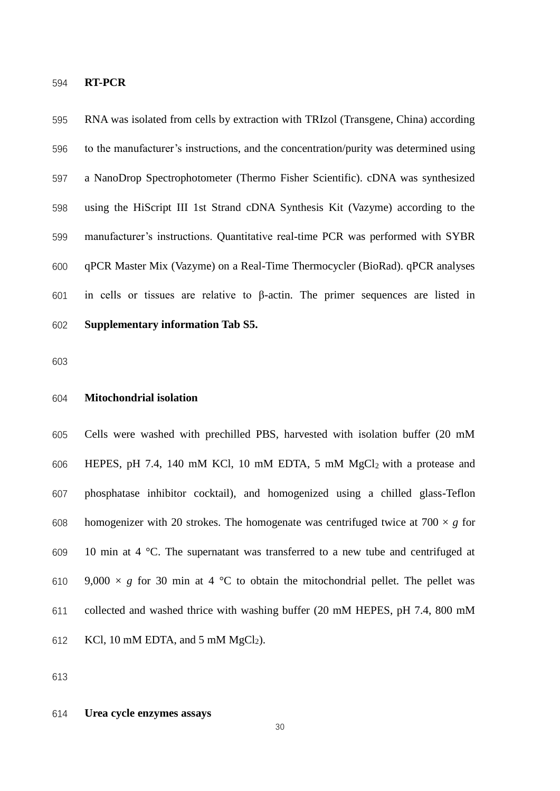## **RT-PCR**

 RNA was isolated from cells by extraction with TRIzol (Transgene, China) according to the manufacturer's instructions, and the concentration/purity was determined using a NanoDrop Spectrophotometer (Thermo Fisher Scientific). cDNA was synthesized using the HiScript III 1st Strand cDNA Synthesis Kit (Vazyme) according to the manufacturer's instructions. Quantitative real-time PCR was performed with SYBR qPCR Master Mix (Vazyme) on a Real-Time Thermocycler (BioRad). qPCR analyses in cells or tissues are relative to β-actin. The primer sequences are listed in **Supplementary information Tab S5.**

#### **Mitochondrial isolation**

 Cells were washed with prechilled PBS, harvested with isolation buffer (20 mM 606 HEPES, pH 7.4, 140 mM KCl, 10 mM EDTA, 5 mM  $MgCl<sub>2</sub>$  with a protease and phosphatase inhibitor cocktail), and homogenized using a chilled glass-Teflon 608 homogenizer with 20 strokes. The homogenate was centrifuged twice at  $700 \times g$  for 10 min at 4 °C. The supernatant was transferred to a new tube and centrifuged at 610 9,000  $\times g$  for 30 min at 4 °C to obtain the mitochondrial pellet. The pellet was collected and washed thrice with washing buffer (20 mM HEPES, pH 7.4, 800 mM 612 KCl, 10 mM EDTA, and 5 mM  $MgCl<sub>2</sub>$ ).

#### **Urea cycle enzymes assays**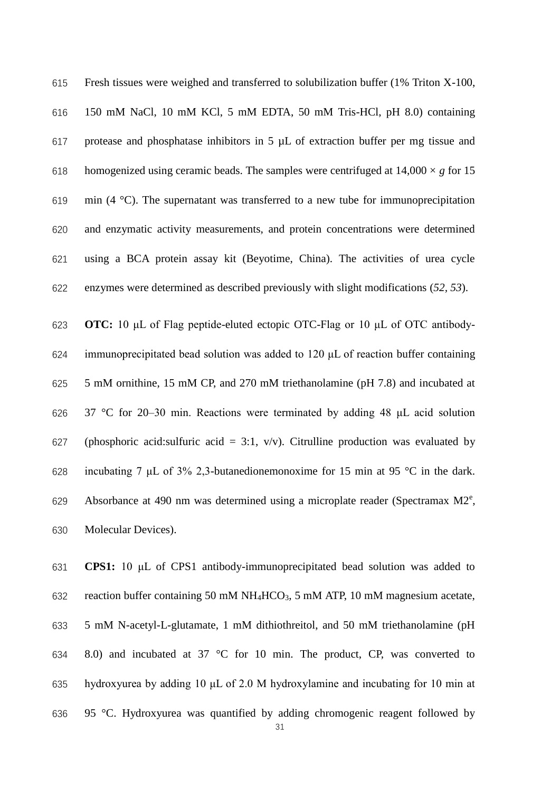Fresh tissues were weighed and transferred to solubilization buffer (1% Triton X-100, 150 mM NaCl, 10 mM KCl, 5 mM EDTA, 50 mM Tris-HCl, pH 8.0) containing protease and phosphatase inhibitors in 5 µL of extraction buffer per mg tissue and 618 homogenized using ceramic beads. The samples were centrifuged at  $14,000 \times g$  for 15 619 min (4  $^{\circ}$ C). The supernatant was transferred to a new tube for immunoprecipitation and enzymatic activity measurements, and protein concentrations were determined using a BCA protein assay kit (Beyotime, China). The activities of urea cycle enzymes were determined as described previously with slight modifications (*52, 53*).

 **OTC:** 10 μL of Flag peptide-eluted ectopic OTC-Flag or 10 μL of OTC antibody- immunoprecipitated bead solution was added to 120 μL of reaction buffer containing 5 mM ornithine, 15 mM CP, and 270 mM triethanolamine (pH 7.8) and incubated at 37 °C for 20–30 min. Reactions were terminated by adding 48 μL acid solution 627 (phosphoric acid:sulfuric acid = 3:1,  $v/v$ ). Citrulline production was evaluated by incubating 7 μL of 3% 2,3-butanedionemonoxime for 15 min at 95 °C in the dark. 629 Absorbance at 490 nm was determined using a microplate reader (Spectramax  $M2^e$ , Molecular Devices).

 **CPS1:** 10 μL of CPS1 antibody-immunoprecipitated bead solution was added to 632 reaction buffer containing 50 mM NH<sub>4</sub>HCO<sub>3</sub>, 5 mM ATP, 10 mM magnesium acetate, 5 mM N-acetyl-L-glutamate, 1 mM dithiothreitol, and 50 mM triethanolamine (pH 8.0) and incubated at 37 °C for 10 min. The product, CP, was converted to hydroxyurea by adding 10 μL of 2.0 M hydroxylamine and incubating for 10 min at 95 °C. Hydroxyurea was quantified by adding chromogenic reagent followed by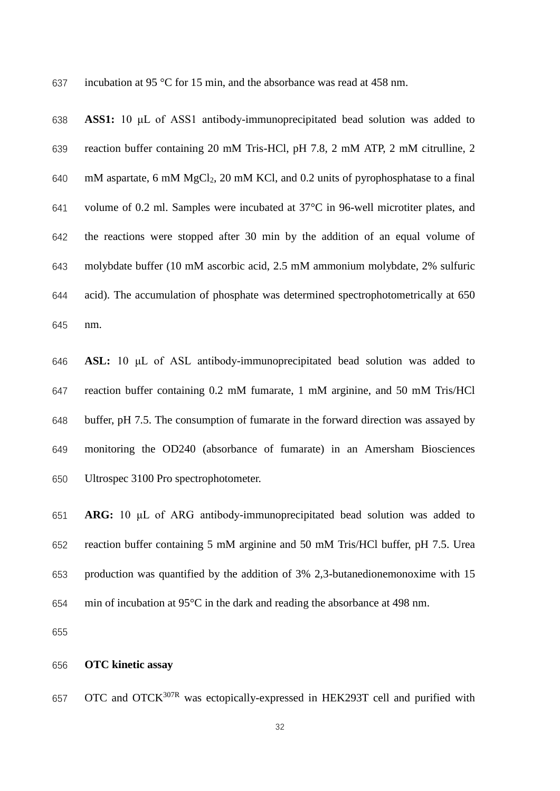incubation at 95 °C for 15 min, and the absorbance was read at 458 nm.

 **ASS1:** 10 μL of ASS1 antibody-immunoprecipitated bead solution was added to reaction buffer containing 20 mM Tris-HCl, pH 7.8, 2 mM ATP, 2 mM citrulline, 2 mM aspartate, 6 mM MgCl2, 20 mM KCl, and 0.2 units of pyrophosphatase to a final volume of 0.2 ml. Samples were incubated at 37°C in 96-well microtiter plates, and the reactions were stopped after 30 min by the addition of an equal volume of molybdate buffer (10 mM ascorbic acid, 2.5 mM ammonium molybdate, 2% sulfuric acid). The accumulation of phosphate was determined spectrophotometrically at 650 nm.

 **ASL:** 10 μL of ASL antibody-immunoprecipitated bead solution was added to reaction buffer containing 0.2 mM fumarate, 1 mM arginine, and 50 mM Tris/HCl buffer, pH 7.5. The consumption of fumarate in the forward direction was assayed by monitoring the OD240 (absorbance of fumarate) in an Amersham Biosciences Ultrospec 3100 Pro spectrophotometer.

 **ARG:** 10 μL of ARG antibody-immunoprecipitated bead solution was added to reaction buffer containing 5 mM arginine and 50 mM Tris/HCl buffer, pH 7.5. Urea production was quantified by the addition of 3% 2,3-butanedionemonoxime with 15 min of incubation at 95°C in the dark and reading the absorbance at 498 nm.

#### **OTC kinetic assay**

657 OTC and OTCK<sup>307R</sup> was ectopically-expressed in HEK293T cell and purified with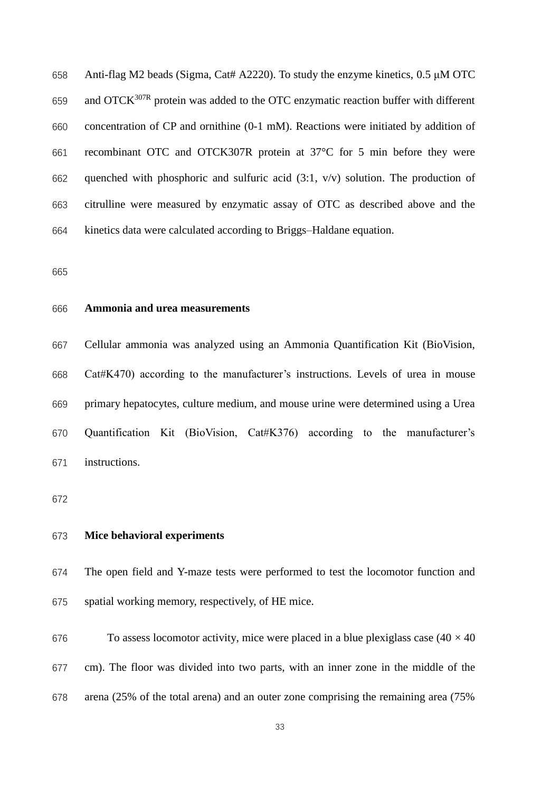Anti-flag M2 beads (Sigma, Cat# A2220). To study the enzyme kinetics, 0.5 μM OTC 659 and OTC $K^{307R}$  protein was added to the OTC enzymatic reaction buffer with different concentration of CP and ornithine (0-1 mM). Reactions were initiated by addition of recombinant OTC and OTCK307R protein at 37°C for 5 min before they were quenched with phosphoric and sulfuric acid (3:1, v/v) solution. The production of citrulline were measured by enzymatic assay of OTC as described above and the kinetics data were calculated according to Briggs–Haldane equation.

#### **Ammonia and urea measurements**

 Cellular ammonia was analyzed using an Ammonia Quantification Kit (BioVision, Cat#K470) according to the manufacturer's instructions. Levels of urea in mouse primary hepatocytes, culture medium, and mouse urine were determined using a Urea Quantification Kit (BioVision, Cat#K376) according to the manufacturer's instructions.

### **Mice behavioral experiments**

 The open field and Y-maze tests were performed to test the locomotor function and spatial working memory, respectively, of HE mice.

676 To assess locomotor activity, mice were placed in a blue plexiglass case  $(40 \times 40)$  cm). The floor was divided into two parts, with an inner zone in the middle of the arena (25% of the total arena) and an outer zone comprising the remaining area (75%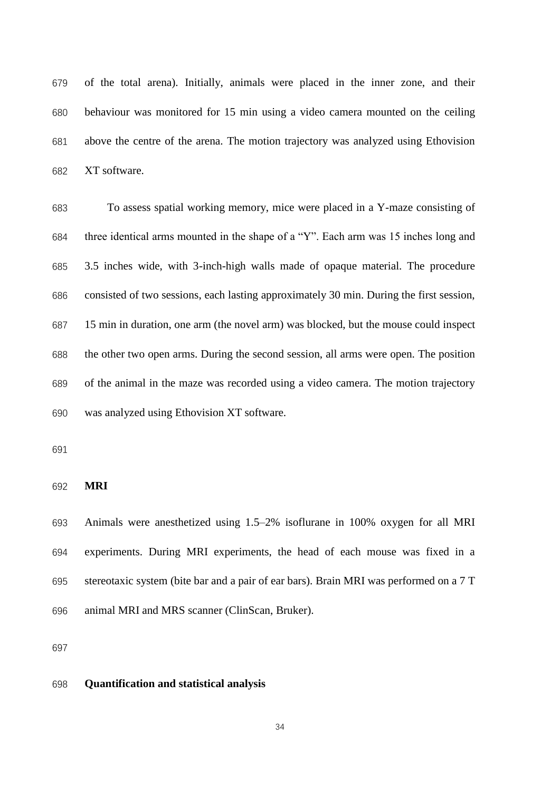of the total arena). Initially, animals were placed in the inner zone, and their behaviour was monitored for 15 min using a video camera mounted on the ceiling above the centre of the arena. The motion trajectory was analyzed using Ethovision XT software.

 To assess spatial working memory, mice were placed in a Y-maze consisting of three identical arms mounted in the shape of a "Y". Each arm was 15 inches long and 3.5 inches wide, with 3-inch-high walls made of opaque material. The procedure consisted of two sessions, each lasting approximately 30 min. During the first session, 15 min in duration, one arm (the novel arm) was blocked, but the mouse could inspect the other two open arms. During the second session, all arms were open. The position of the animal in the maze was recorded using a video camera. The motion trajectory was analyzed using Ethovision XT software.

**MRI**

 Animals were anesthetized using 1.5–2% isoflurane in 100% oxygen for all MRI experiments. During MRI experiments, the head of each mouse was fixed in a stereotaxic system (bite bar and a pair of ear bars). Brain MRI was performed on a 7 T animal MRI and MRS scanner (ClinScan, Bruker).

#### **Quantification and statistical analysis**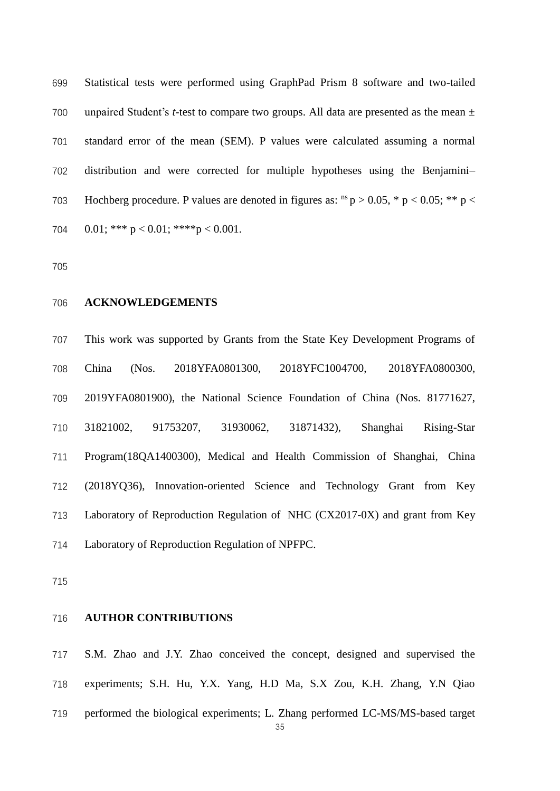Statistical tests were performed using GraphPad Prism 8 software and two-tailed unpaired Student's *t*-test to compare two groups. All data are presented as the mean ± standard error of the mean (SEM). P values were calculated assuming a normal distribution and were corrected for multiple hypotheses using the Benjamini– 703 Hochberg procedure. P values are denoted in figures as:  $^{ns}$  p > 0.05,  $*$  p < 0.05;  $**$  p <  $0.01$ ; \*\*\*  $p < 0.01$ ; \*\*\*\* $p < 0.001$ .

#### **ACKNOWLEDGEMENTS**

 This work was supported by Grants from the State Key Development Programs of China (Nos. 2018YFA0801300, 2018YFC1004700, 2018YFA0800300, 2019YFA0801900), the National Science Foundation of China (Nos. 81771627, 31821002, 91753207, 31930062, 31871432), Shanghai Rising-Star Program(18QA1400300), Medical and Health Commission of Shanghai, China (2018YQ36), Innovation-oriented Science and Technology Grant from Key Laboratory of Reproduction Regulation of NHC (CX2017-0X) and grant from Key Laboratory of Reproduction Regulation of NPFPC.

#### **AUTHOR CONTRIBUTIONS**

 S.M. Zhao and J.Y. Zhao conceived the concept, designed and supervised the experiments; S.H. Hu, Y.X. Yang, H.D Ma, S.X Zou, K.H. Zhang, Y.N Qiao performed the biological experiments; L. Zhang performed LC-MS/MS-based target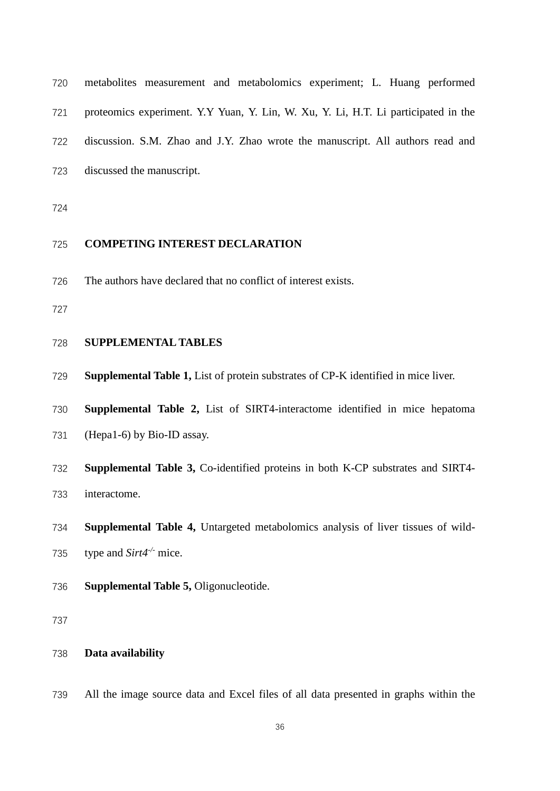| 720 | metabolities measurement and metabolomics experiment; L. Huang performed           |
|-----|------------------------------------------------------------------------------------|
| 721 | proteomics experiment. Y.Y Yuan, Y. Lin, W. Xu, Y. Li, H.T. Li participated in the |
|     | 722 discussion. S.M. Zhao and J.Y. Zhao wrote the manuscript. All authors read and |
|     | 723 discussed the manuscript.                                                      |
|     |                                                                                    |

# 

# **COMPETING INTEREST DECLARATION**

The authors have declared that no conflict of interest exists.

#### **SUPPLEMENTAL TABLES**

- **Supplemental Table 1,** List of protein substrates of CP-K identified in mice liver.
- **Supplemental Table 2,** List of SIRT4-interactome identified in mice hepatoma
- (Hepa1-6) by Bio-ID assay.
- **Supplemental Table 3,** Co-identified proteins in both K-CP substrates and SIRT4-

interactome.

- **Supplemental Table 4,** Untargeted metabolomics analysis of liver tissues of wild-
- 735 *type and Sirt4<sup>-/-</sup> mice.*
- **Supplemental Table 5,** Oligonucleotide.

# **Data availability**

All the image source data and Excel files of all data presented in graphs within the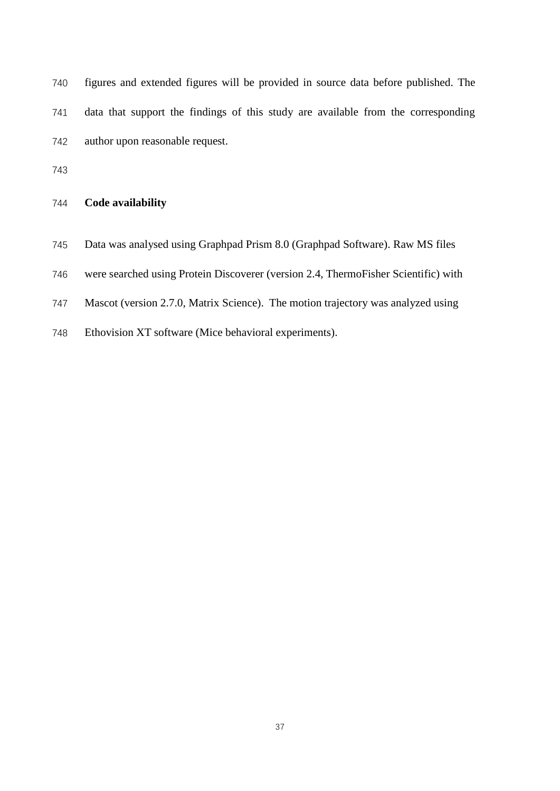| 744 | Code availability                                                                  |
|-----|------------------------------------------------------------------------------------|
| 743 |                                                                                    |
| 742 | author upon reasonable request.                                                    |
| 741 | data that support the findings of this study are available from the corresponding  |
| 740 | figures and extended figures will be provided in source data before published. The |

- Data was analysed using Graphpad Prism 8.0 (Graphpad Software). Raw MS files
- were searched using Protein Discoverer (version 2.4, ThermoFisher Scientific) with
- Mascot (version 2.7.0, Matrix Science). The motion trajectory was analyzed using
- Ethovision XT software (Mice behavioral experiments).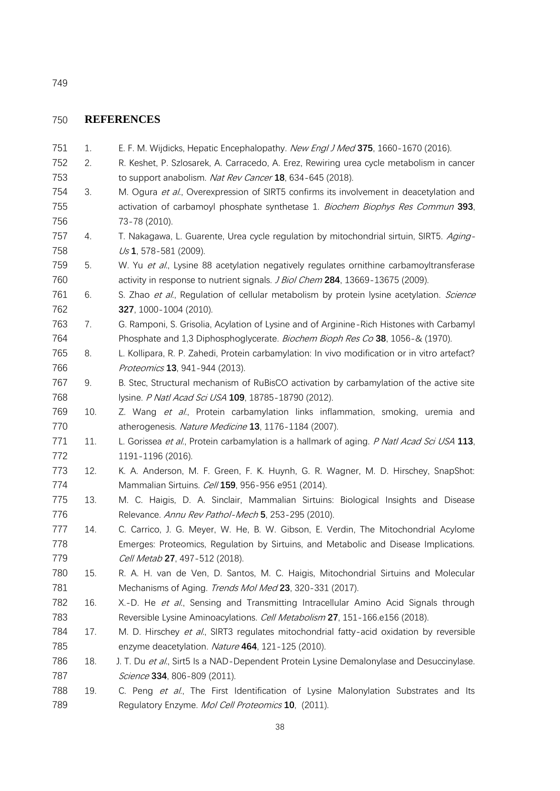### **REFERENCES**

- 1. E. F. M. Wijdicks, Hepatic Encephalopathy. New Engl J Med **375**, 1660-1670 (2016).
- 2. R. Keshet, P. Szlosarek, A. Carracedo, A. Erez, Rewiring urea cycle metabolism in cancer to support anabolism. Nat Rev Cancer **18**, 634-645 (2018).
- 754 3. M. Ogura et al., Overexpression of SIRT5 confirms its involvement in deacetylation and activation of carbamoyl phosphate synthetase 1. Biochem Biophys Res Commun **393**, 73-78 (2010).
- 757 4. T. Nakagawa, L. Guarente, Urea cycle regulation by mitochondrial sirtuin, SIRT5. Aging-Us **1**, 578-581 (2009).
- 759 5. W. Yu et al., Lysine 88 acetylation negatively regulates ornithine carbamoyltransferase activity in response to nutrient signals. J Biol Chem **284**, 13669-13675 (2009).
- 761 6. S. Zhao et al., Regulation of cellular metabolism by protein lysine acetylation. Science **327**, 1000-1004 (2010).
- 7. G. Ramponi, S. Grisolia, Acylation of Lysine and of Arginine-Rich Histones with Carbamyl Phosphate and 1,3 Diphosphoglycerate. Biochem Bioph Res Co **38**, 1056-& (1970).
- 8. L. Kollipara, R. P. Zahedi, Protein carbamylation: In vivo modification or in vitro artefact? Proteomics **13**, 941-944 (2013).
- 9. B. Stec, Structural mechanism of RuBisCO activation by carbamylation of the active site lysine. P Natl Acad Sci USA **109**, 18785-18790 (2012).
- 769 10. Z. Wang et al., Protein carbamylation links inflammation, smoking, uremia and atherogenesis. Nature Medicine **13**, 1176-1184 (2007).
- 771 11. L. Gorissea et al., Protein carbamylation is a hallmark of aging. P Natl Acad Sci USA 113, 1191-1196 (2016).
- 12. K. A. Anderson, M. F. Green, F. K. Huynh, G. R. Wagner, M. D. Hirschey, SnapShot: Mammalian Sirtuins. Cell **159**, 956-956 e951 (2014).
- 13. M. C. Haigis, D. A. Sinclair, Mammalian Sirtuins: Biological Insights and Disease Relevance. Annu Rev Pathol-Mech **5**, 253-295 (2010).
- 14. C. Carrico, J. G. Meyer, W. He, B. W. Gibson, E. Verdin, The Mitochondrial Acylome Emerges: Proteomics, Regulation by Sirtuins, and Metabolic and Disease Implications. Cell Metab **27**, 497-512 (2018).
- 15. R. A. H. van de Ven, D. Santos, M. C. Haigis, Mitochondrial Sirtuins and Molecular Mechanisms of Aging. Trends Mol Med **23**, 320-331 (2017).
- 782 16. X.-D. He et al., Sensing and Transmitting Intracellular Amino Acid Signals through Reversible Lysine Aminoacylations. Cell Metabolism **27**, 151-166.e156 (2018).
- 784 17. M. D. Hirschey et al., SIRT3 regulates mitochondrial fatty-acid oxidation by reversible enzyme deacetylation. Nature **464**, 121-125 (2010).
- 786 18. J. T. Du et al., Sirt5 Is a NAD-Dependent Protein Lysine Demalonylase and Desuccinylase. Science **334**, 806-809 (2011).
- 788 19. C. Peng et al., The First Identification of Lysine Malonylation Substrates and Its Regulatory Enzyme. Mol Cell Proteomics **10**, (2011).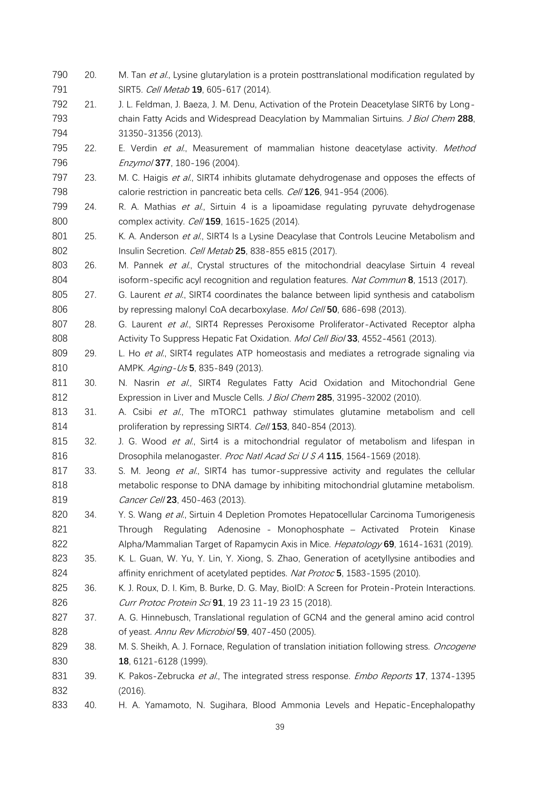790 20. M. Tan et al., Lysine glutarylation is a protein posttranslational modification regulated by SIRT5. Cell Metab **19**, 605-617 (2014). 21. J. L. Feldman, J. Baeza, J. M. Denu, Activation of the Protein Deacetylase SIRT6 by Long- chain Fatty Acids and Widespread Deacylation by Mammalian Sirtuins. J Biol Chem **288**, 31350-31356 (2013). 795 22. E. Verdin et al., Measurement of mammalian histone deacetylase activity. Method Enzymol **377**, 180-196 (2004). 797 23. M. C. Haigis et al., SIRT4 inhibits glutamate dehydrogenase and opposes the effects of calorie restriction in pancreatic beta cells. Cell **126**, 941-954 (2006). 799 24. R. A. Mathias et al., Sirtuin 4 is a lipoamidase regulating pyruvate dehydrogenase complex activity. Cell **159**, 1615-1625 (2014). 801 25. K. A. Anderson et al., SIRT4 Is a Lysine Deacylase that Controls Leucine Metabolism and Insulin Secretion. Cell Metab **25**, 838-855 e815 (2017). 803 26. M. Pannek et al., Crystal structures of the mitochondrial deacylase Sirtuin 4 reveal isoform-specific acyl recognition and regulation features. Nat Commun **8**, 1513 (2017). 805 27. G. Laurent et al., SIRT4 coordinates the balance between lipid synthesis and catabolism 806 by repressing malonyl CoA decarboxylase. Mol Cell **50**, 686-698 (2013). 807 28. G. Laurent et al., SIRT4 Represses Peroxisome Proliferator-Activated Receptor alpha Activity To Suppress Hepatic Fat Oxidation. Mol Cell Biol **33**, 4552-4561 (2013). 809 29. L. Ho et al., SIRT4 regulates ATP homeostasis and mediates a retrograde signaling via AMPK. Aging-Us **5**, 835-849 (2013). 811 30. N. Nasrin et al., SIRT4 Regulates Fatty Acid Oxidation and Mitochondrial Gene Expression in Liver and Muscle Cells. J Biol Chem **285**, 31995-32002 (2010). 813 31. A. Csibi et al., The mTORC1 pathway stimulates glutamine metabolism and cell proliferation by repressing SIRT4. Cell **153**, 840-854 (2013). 815 32. J. G. Wood et al., Sirt4 is a mitochondrial regulator of metabolism and lifespan in Drosophila melanogaster. Proc Natl Acad Sci U S A **115**, 1564-1569 (2018). 817 33. S. M. Jeong et al., SIRT4 has tumor-suppressive activity and regulates the cellular metabolic response to DNA damage by inhibiting mitochondrial glutamine metabolism. Cancer Cell **23**, 450-463 (2013). 820 34. Y. S. Wang et al., Sirtuin 4 Depletion Promotes Hepatocellular Carcinoma Tumorigenesis 821 Through Regulating Adenosine - Monophosphate – Activated Protein Kinase Alpha/Mammalian Target of Rapamycin Axis in Mice. Hepatology **69**, 1614-1631 (2019). 35. K. L. Guan, W. Yu, Y. Lin, Y. Xiong, S. Zhao, Generation of acetyllysine antibodies and affinity enrichment of acetylated peptides. Nat Protoc **5**, 1583-1595 (2010). 36. K. J. Roux, D. I. Kim, B. Burke, D. G. May, BioID: A Screen for Protein-Protein Interactions. Curr Protoc Protein Sci **91**, 19 23 11-19 23 15 (2018). 37. A. G. Hinnebusch, Translational regulation of GCN4 and the general amino acid control of yeast. Annu Rev Microbiol **59**, 407-450 (2005). 829 38. M. S. Sheikh, A. J. Fornace, Regulation of translation initiation following stress. *Oncogene*  **18**, 6121-6128 (1999). 39. K. Pakos-Zebrucka et al., The integrated stress response. Embo Reports **17**, 1374-1395 (2016). 40. H. A. Yamamoto, N. Sugihara, Blood Ammonia Levels and Hepatic-Encephalopathy